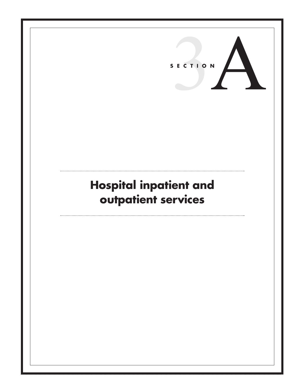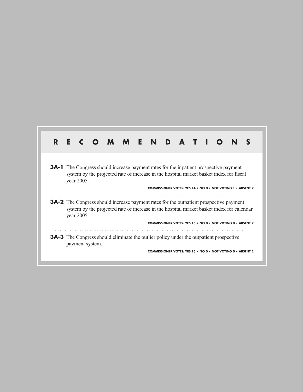| R |            |                 | <b>MMENDATIO</b>                                                                                                                                                                           |  |  |  |  |                                                                    |  |
|---|------------|-----------------|--------------------------------------------------------------------------------------------------------------------------------------------------------------------------------------------|--|--|--|--|--------------------------------------------------------------------|--|
|   | year 2005. |                 | <b>3A-1</b> The Congress should increase payment rates for the inpatient prospective payment<br>system by the projected rate of increase in the hospital market basket index for fiscal    |  |  |  |  |                                                                    |  |
|   | year 2005. |                 | <b>3A-2</b> The Congress should increase payment rates for the outpatient prospective payment<br>system by the projected rate of increase in the hospital market basket index for calendar |  |  |  |  | <b>COMMISSIONER VOTES: YES 14 • NO 0 • NOT VOTING 1 • ABSENT 2</b> |  |
|   |            |                 |                                                                                                                                                                                            |  |  |  |  | <b>COMMISSIONER VOTES: YES 15 • NO 0 • NOT VOTING 0 • ABSENT 2</b> |  |
|   |            | payment system. | <b>3A-3</b> The Congress should eliminate the outlier policy under the outpatient prospective                                                                                              |  |  |  |  |                                                                    |  |
|   |            |                 |                                                                                                                                                                                            |  |  |  |  | <b>COMMISSIONER VOTES: YES 15 • NO 0 • NOT VOTING 0 • ABSER</b>    |  |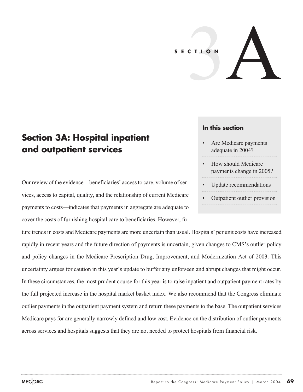# 3A **SECTION**

# **Section 3A: Hospital inpatient and outpatient services**

Our review of the evidence—beneficiaries' access to care, volume of services, access to capital, quality, and the relationship of current Medicare payments to costs—indicates that payments in aggregate are adequate to cover the costs of furnishing hospital care to beneficiaries. However, fu-

ture trends in costs and Medicare payments are more uncertain than usual. Hospitals' per unit costs have increased rapidly in recent years and the future direction of payments is uncertain, given changes to CMS's outlier policy and policy changes in the Medicare Prescription Drug, Improvement, and Modernization Act of 2003. This uncertainty argues for caution in this year's update to buffer any unforseen and abrupt changes that might occur. In these circumstances, the most prudent course for this year is to raise inpatient and outpatient payment rates by the full projected increase in the hospital market basket index. We also recommend that the Congress eliminate outlier payments in the outpatient payment system and return these payments to the base. The outpatient services Medicare pays for are generally narrowly defined and low cost. Evidence on the distribution of outlier payments across services and hospitals suggests that they are not needed to protect hospitals from financial risk.

#### **In this section**

- Are Medicare payments adequate in 2004?
- How should Medicare payments change in 2005?
- Update recommendations
- Outpatient outlier provision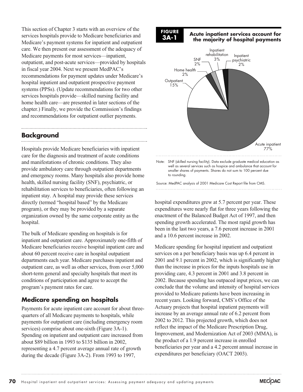This section of Chapter 3 starts with an overview of the services hospitals provide to Medicare beneficiaries and Medicare's payment systems for inpatient and outpatient care. We then present our assessment of the adequacy of Medicare payments for most services—inpatient, outpatient, and post-acute services—provided by hospitals in fiscal year 2004. Next we present MedPAC's recommendations for payment updates under Medicare's hospital inpatient and outpatient prospective payment systems (PPSs). (Update recommendations for two other services hospitals provide—skilled nursing facility and home health care—are presented in later sections of the chapter.) Finally, we provide the Commission's findings and recommendations for outpatient outlier payments.

# **Background**

Hospitals provide Medicare beneficiaries with inpatient care for the diagnosis and treatment of acute conditions and manifestations of chronic conditions. They also provide ambulatory care through outpatient departments and emergency rooms. Many hospitals also provide home health, skilled nursing facility (SNF), psychiatric, or rehabilitation services to beneficiaries, often following an inpatient stay. A hospital may provide these services directly (termed "hospital based" by the Medicare program), or they may be provided by a separate organization owned by the same corporate entity as the hospital.

The bulk of Medicare spending on hospitals is for inpatient and outpatient care. Approximately one-fifth of Medicare beneficiaries receive hospital inpatient care and about 60 percent receive care in hospital outpatient departments each year. Medicare purchases inpatient and outpatient care, as well as other services, from over 5,000 short-term general and specialty hospitals that meet its conditions of participation and agree to accept the program's payment rates for care.

# **Medicare spending on hospitals**

Payments for acute inpatient care account for about threequarters of all Medicare payments to hospitals, while payments for outpatient care (including emergency room services) comprise about one-sixth (Figure 3A-1). Spending on inpatient and outpatient care increased from about \$89 billion in 1993 to \$135 billion in 2002, representing a 4.7 percent average annual rate of growth during the decade (Figure 3A-2). From 1993 to 1997,

**FIGURE 3A-1**

**Acute inpatient services account for the majority of hospital payments**



Note: SNF (skilled nursing facility). Data exclude graduate medical education as well as several services such as hospice and ambulance that account for smaller shares of payments. Shares do not sum to 100 percent due to rounding.

Source: MedPAC analysis of 2001 Medicare Cost Report file from CMS. 

hospital expenditures grew at 5.7 percent per year. These expenditures were nearly flat for three years following the enactment of the Balanced Budget Act of 1997, and then spending growth accelerated. The most rapid growth has been in the last two years, a 7.6 percent increase in 2001 and a 10.6 percent increase in 2002.

Medicare spending for hospital inpatient and outpatient services on a per beneficiary basis was up 6.4 percent in 2001 and 9.1 percent in 2002, which is significantly higher than the increase in prices for the inputs hospitals use in providing care, 4.3 percent in 2001 and 3.8 percent in 2002. Because spending has outpaced input prices, we can conclude that the volume and intensity of hospital services provided to Medicare patients have been increasing in recent years. Looking forward, CMS's Office of the Actuary projects that hospital inpatient payments will increase by an average annual rate of 6.2 percent from 2002 to 2012. This projected growth, which does not reflect the impact of the Medicare Prescription Drug, Improvement, and Modernization Act of 2003 (MMA), is the product of a 1.9 percent increase in enrolled beneficiaries per year and a 4.2 percent annual increase in expenditures per beneficiary (OACT 2003).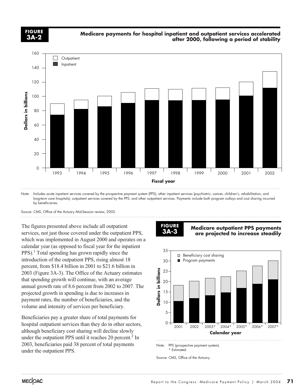**FIGURE 3A-2**

#### **Medicare payments for hospital inpatient and outpatient services accelerated after 2000, following a period of stability**



long-term care hospitals); outpatient services covered by the PPS; and other outpatient services. Payments include both program outlays and cost sharing incurred by beneficiaries.

Source: CMS, Office of the Actuary Mid-Session review, 2003.

The figures presented above include all outpatient services, not just those covered under the outpatient PPS, which was implemented in August 2000 and operates on a calendar year (as opposed to fiscal year for the inpatient  $PPS$ ).<sup>1</sup> Total spending has grown rapidly since the introduction of the outpatient PPS, rising almost 18 percent, from \$18.4 billion in 2001 to \$21.6 billion in 2003 (Figure 3A-3). The Office of the Actuary estimates that spending growth will continue, with an average annual growth rate of 8.6 percent from 2002 to 2007. The projected growth in spending is due to increases in payment rates, the number of beneficiaries, and the volume and intensity of services per beneficiary.

Beneficiaries pay a greater share of total payments for hospital outpatient services than they do in other sectors, although beneficiary cost sharing will decline slowly under the outpatient PPS until it reaches 20 percent.<sup>2</sup> In 2003, beneficiaries paid 38 percent of total payments under the outpatient PPS.

#### **FIGURE 3A-3**

**Medicare outpatient PPS payments are projected to increase steadily**



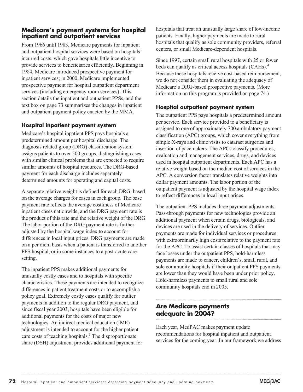# **Medicare's payment systems for hospital inpatient and outpatient services**

From 1966 until 1983, Medicare payments for inpatient and outpatient hospital services were based on hospitals' incurred costs, which gave hospitals little incentive to provide services to beneficiaries efficiently. Beginning in 1984, Medicare introduced prospective payment for inpatient services; in 2000, Medicare implemented prospective payment for hospital outpatient department services (including emergency room services). This section details the inpatient and outpatient PPSs, and the text box on page 73 summarizes the changes in inpatient and outpatient payment policy enacted by the MMA.

#### **Hospital inpatient payment system**

Medicare's hospital inpatient PPS pays hospitals a predetermined amount per hospital discharge. The diagnosis related group (DRG) classification system assigns patients to over 500 groups, distinguishing cases with similar clinical problems that are expected to require similar amounts of hospital resources. The DRG-based payment for each discharge includes separately determined amounts for operating and capital costs.

A separate relative weight is defined for each DRG, based on the average charges for cases in each group. The base payment rate reflects the average costliness of Medicare inpatient cases nationwide, and the DRG payment rate is the product of this rate and the relative weight of the DRG. The labor portion of the DRG payment rate is further adjusted by the hospital wage index to account for differences in local input prices. DRG payments are made on a per diem basis when a patient is transferred to another PPS hospital, or in some instances to a post-acute care setting.

The inpatient PPS makes additional payments for unusually costly cases and to hospitals with specific characteristics. These payments are intended to recognize differences in patient treatment costs or to accomplish a policy goal. Extremely costly cases qualify for outlier payments in addition to the regular DRG payment, and since fiscal year 2003, hospitals have been eligible for additional payments for the costs of major new technologies. An indirect medical education (IME) adjustment is intended to account for the higher patient care costs of teaching hospitals.<sup>3</sup> The disproportionate share (DSH) adjustment provides additional payment for

hospitals that treat an unusually large share of low-income patients. Finally, higher payments are made to rural hospitals that qualify as sole community providers, referral centers, or small Medicare-dependent hospitals.

Since 1997, certain small rural hospitals with 25 or fewer beds can qualify as critical access hospitals (CAHs).4 Because these hospitals receive cost-based reimbursement, we do not consider them in evaluating the adequacy of Medicare's DRG-based prospective payments. (More information on this program is provided on page 74.)

#### **Hospital outpatient payment system**

The outpatient PPS pays hospitals a predetermined amount per service. Each service provided to a beneficiary is assigned to one of approximately 700 ambulatory payment classification (APC) groups, which cover everything from simple X-rays and clinic visits to cataract surgeries and insertion of pacemakers. The APCs classify procedures, evaluation and management services, drugs, and devices used in hospital outpatient departments. Each APC has a relative weight based on the median cost of services in the APC. A conversion factor translates relative weights into dollar payment amounts. The labor portion of the outpatient payment is adjusted by the hospital wage index to reflect differences in local input prices.

The outpatient PPS includes three payment adjustments. Pass-through payments for new technologies provide an additional payment when certain drugs, biologicals, and devices are used in the delivery of services. Outlier payments are made for individual services or procedures with extraordinarily high costs relative to the payment rate for the APC. To assist certain classes of hospitals that may face losses under the outpatient PPS, hold-harmless payments are made to cancer, children's, small rural, and sole community hospitals if their outpatient PPS payments are lower than they would have been under prior policy. Hold-harmless payments to small rural and sole community hospitals end in 2005.

# **Are Medicare payments adequate in 2004?**

Each year, MedPAC makes payment update recommendations for hospital inpatient and outpatient services for the coming year. In our framework we address

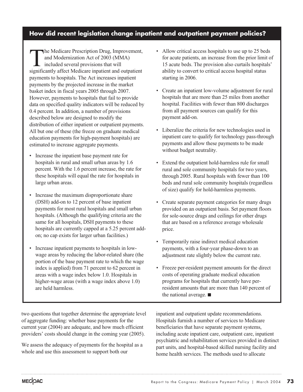# **How did recent legislation change inpatient and outpatient payment policies?**

The Medicare Prescription Drug, Improvement, and Modernization Act of 2003 (MMA) included several provisions that will significantly affect Medicare inpatient and outpatient payments to hospitals. The Act increases inpatient payments by the projected increase in the market basket index in fiscal years 2005 through 2007. However, payments to hospitals that fail to provide data on specified quality indicators will be reduced by 0.4 percent. In addition, a number of provisions described below are designed to modify the distribution of either inpatient or outpatient payments. All but one of these (the freeze on graduate medical education payments for high-payment hospitals) are estimated to increase aggregate payments.

- Increase the inpatient base payment rate for hospitals in rural and small urban areas by 1.6 percent. With the 1.6 percent increase, the rate for these hospitals will equal the rate for hospitals in large urban areas.
- Increase the maximum disproportionate share (DSH) add-on to 12 percent of base inpatient payments for most rural hospitals and small urban hospitals. (Although the qualifying criteria are the same for all hospitals, DSH payments to these hospitals are currently capped at a 5.25 percent addon; no cap exists for larger urban facilities.)
- Increase inpatient payments to hospitals in lowwage areas by reducing the labor-related share (the portion of the base payment rate to which the wage index is applied) from 71 percent to 62 percent in areas with a wage index below 1.0. Hospitals in higher-wage areas (with a wage index above 1.0) are held harmless.
- Allow critical access hospitals to use up to 25 beds for acute patients, an increase from the prior limit of 15 acute beds. The provision also curtails hospitals' ability to convert to critical access hospital status starting in 2006.
- Create an inpatient low-volume adjustment for rural hospitals that are more than 25 miles from another hospital. Facilities with fewer than 800 discharges from all payment sources can qualify for this payment add-on.
- Liberalize the criteria for new technologies used in inpatient care to qualify for technology pass-through payments and allow these payments to be made without budget neutrality.
- Extend the outpatient hold-harmless rule for small rural and sole community hospitals for two years, through 2005. Rural hospitals with fewer than 100 beds and rural sole community hospitals (regardless of size) qualify for hold-harmless payments.
- Create separate payment categories for many drugs provided on an outpatient basis. Set payment floors for sole-source drugs and ceilings for other drugs that are based on a reference average wholesale price.
- Temporarily raise indirect medical education payments, with a four-year phase-down to an adjustment rate slightly below the current rate.
- Freeze per-resident payment amounts for the direct costs of operating graduate medical education programs for hospitals that currently have perresident amounts that are more than 140 percent of the national average.  $\blacksquare$

two questions that together determine the appropriate level of aggregate funding: whether base payments for the current year (2004) are adequate, and how much efficient providers' costs should change in the coming year (2005).

We assess the adequacy of payments for the hospital as a whole and use this assessment to support both our

inpatient and outpatient update recommendations. Hospitals furnish a number of services to Medicare beneficiaries that have separate payment systems, including acute inpatient care, outpatient care, inpatient psychiatric and rehabilitation services provided in distinct part units, and hospital-based skilled nursing facility and home health services. The methods used to allocate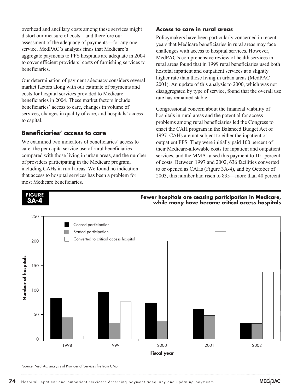overhead and ancillary costs among these services might distort our measure of costs—and therefore our assessment of the adequacy of payments—for any one service. MedPAC's analysis finds that Medicare's aggregate payments to PPS hospitals are adequate in 2004 to cover efficient providers' costs of furnishing services to beneficiaries.

Our determination of payment adequacy considers several market factors along with our estimate of payments and costs for hospital services provided to Medicare beneficiaries in 2004. These market factors include beneficiaries' access to care, changes in volume of services, changes in quality of care, and hospitals' access to capital.

#### **Beneficiaries' access to care**

**FIGURE 3A-4**

We examined two indicators of beneficiaries' access to care: the per capita service use of rural beneficiaries compared with those living in urban areas, and the number of providers participating in the Medicare program, including CAHs in rural areas. We found no indication that access to hospital services has been a problem for most Medicare beneficiaries.

#### **Access to care in rural areas**

Policymakers have been particularly concerned in recent years that Medicare beneficiaries in rural areas may face challenges with access to hospital services. However, MedPAC's comprehensive review of health services in rural areas found that in 1999 rural beneficiaries used both hospital inpatient and outpatient services at a slightly higher rate than those living in urban areas (MedPAC 2001). An update of this analysis to 2000, which was not disaggregated by type of service, found that the overall use rate has remained stable.

Congressional concern about the financial viability of hospitals in rural areas and the potential for access problems among rural beneficiaries led the Congress to enact the CAH program in the Balanced Budget Act of 1997. CAHs are not subject to either the inpatient or outpatient PPS. They were initially paid 100 percent of their Medicare-allowable costs for inpatient and outpatient services, and the MMA raised this payment to 101 percent of costs. Between 1997 and 2002, 636 facilities converted to or opened as CAHs (Figure 3A-4), and by October of 2003, this number had risen to 835—more than 40 percent

**Fewer hospitals are ceasing participation in Medicare, while many have become critical access hospitals**



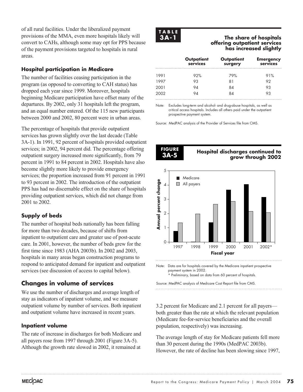of all rural facilities. Under the liberalized payment provisions of the MMA, even more hospitals likely will convert to CAHs, although some may opt for PPS because of the payment provisions targeted to hospitals in rural areas.

#### **Hospital participation in Medicare**

The number of facilities ceasing participation in the program (as opposed to converting to CAH status) has dropped each year since 1999. Moreover, hospitals beginning Medicare participation have offset many of the departures. By 2002, only 31 hospitals left the program, and an equal number entered. Of the 115 new participants between 2000 and 2002, 80 percent were in urban areas.

The percentage of hospitals that provide outpatient services has grown slightly over the last decade (Table 3A-1). In 1991, 92 percent of hospitals provided outpatient services; in 2002, 94 percent did. The percentage offering outpatient surgery increased more significantly, from 79 percent in 1991 to 84 percent in 2002. Hospitals have also become slightly more likely to provide emergency services; the proportion increased from 91 percent in 1991 to 93 percent in 2002. The introduction of the outpatient PPS has had no discernable effect on the share of hospitals providing outpatient services, which did not change from 2001 to 2002.

# **Supply of beds**

The number of hospital beds nationally has been falling for more than two decades, because of shifts from inpatient to outpatient care and greater use of post-acute care. In 2001, however, the number of beds grew for the first time since 1983 (AHA 2003b). In 2002 and 2003, hospitals in many areas began construction programs to respond to anticipated demand for inpatient and outpatient services (see discussion of access to capital below).

# **Changes in volume of services**

We use the number of discharges and average length of stay as indicators of inpatient volume, and we measure outpatient volume by number of services. Both inpatient and outpatient volume have increased in recent years.

#### **Inpatient volume**

The rate of increase in discharges for both Medicare and all payers rose from 1997 through 2001 (Figure 3A-5). Although the growth rate slowed in 2002, it remained at



#### **The share of hospitals offering outpatient services has increased slightly**

|      | Outpatient<br>services | Outpatient<br>surgery | <b>Emergency</b><br>services |
|------|------------------------|-----------------------|------------------------------|
| 1991 | 92%                    | 79%                   | 91%                          |
| 1997 | 93                     | 81                    |                              |
| 2001 | 14                     | 84                    | 93                           |
| 2002 |                        |                       |                              |

Note: Excludes long-term and alcohol- and drug-abuse hospitals, as well as critical access hospitals. Includes all others paid under the outpatient prospective payment system.

Source: MedPAC analysis of the Provider of Services file from CMS.



Note: Data are for hospitals covered by the Medicare inpatient prospective payment system in 2002. \* Preliminary, based on data from 60 percent of hospitals.

3.2 percent for Medicare and 2.1 percent for all payers both greater than the rate at which the relevant population (Medicare fee-for-service beneficiaries and the overall population, respectively) was increasing.

The average length of stay for Medicare patients fell more than 30 percent during the 1990s (MedPAC 2003b). However, the rate of decline has been slowing since 1997,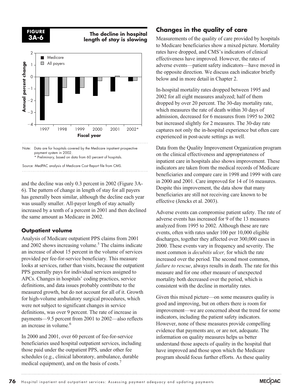

#### **The decline in hospital length of stay is slowing**



and the decline was only 0.3 percent in 2002 (Figure 3A-6). The pattern of change in length of stay for all payers has generally been similar, although the decline each year was usually smaller. All-payer length of stay actually increased by a tenth of a percent in 2001 and then declined the same amount as Medicare in 2002.

#### **Outpatient volume**

Analysis of Medicare outpatient PPS claims from 2001 and  $2002$  shows increasing volume.<sup>5</sup> The claims indicate an increase of about 15 percent in the volume of services provided per fee-for-service beneficiary. This measure looks at services, rather than visits, because the outpatient PPS generally pays for individual services assigned to APCs. Changes in hospitals' coding practices, service definitions, and data issues probably contribute to the measured growth, but do not account for all of it. Growth for high-volume ambulatory surgical procedures, which were not subject to significant changes in service definitions, was over 9 percent. The rate of increase in payments—9.5 percent from 2001 to 2002—also reflects an increase in volume.<sup>6</sup>

In 2000 and 2001, over 60 percent of fee-for-service beneficiaries used hospital outpatient services, including those paid under the outpatient PPS, under other fee schedules (e.g., clinical laboratory, ambulance, durable medical equipment), and on the basis of costs.<sup>7</sup>

# **Changes in the quality of care**

Measurements of the quality of care provided by hospitals to Medicare beneficiaries show a mixed picture. Mortality rates have dropped, and CMS's indicators of clinical effectiveness have improved. However, the rates of adverse events—patient safety indicators—have moved in the opposite direction. We discuss each indicator briefly below and in more detail in Chapter 2.

In-hospital mortality rates dropped between 1995 and 2002 for all eight measures analyzed; half of them dropped by over 20 percent. The 30-day mortality rate, which measures the rate of death within 30 days of admission, decreased for 6 measures from 1995 to 2002 but increased slightly for 2 measures. The 30-day rate captures not only the in-hospital experience but often care experienced in post-acute settings as well.

Data from the Quality Improvement Organization program on the clinical effectiveness and appropriateness of inpatient care in hospitals also shows improvement. These indicators are taken from the medical records of Medicare beneficiaries and compare care in 1998 and 1999 with care in 2000 and 2001. Care improved for 14 of 16 measures. Despite this improvement, the data show that many beneficiaries are still not receiving care known to be effective (Jencks et al. 2003).

Adverse events can compromise patient safety. The rate of adverse events has increased for 9 of the 13 measures analyzed from 1995 to 2002. Although these are rare events, often with rates under 100 per 10,000 eligible discharges, together they affected over 300,000 cases in 2000. These events vary in frequency and severity. The most common is *decubitis ulcer,* for which the rate increased over the period. The second most common, *failure to rescue*, always results in death. The rate for this measure and for one other measure of unexpected mortality both decreased over the period, which is consistent with the decline in mortality rates.

Given this mixed picture—on some measures quality is good and improving, but on others there is room for improvement—we are concerned about the trend for some indicators, including the patient safety indicators. However, none of these measures provide compelling evidence that payments are, or are not, adequate. The information on quality measures helps us better understand those aspects of quality in the hospital that have improved and those upon which the Medicare program should focus further efforts. As these quality

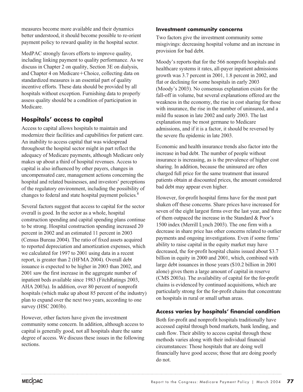measures become more available and their dynamics better understood, it should become possible to re-orient payment policy to reward quality in the hospital sector.

MedPAC strongly favors efforts to improve quality, including linking payment to quality performance. As we discuss in Chapter 2 on quality, Section 3E on dialysis, and Chapter 4 on Medicare+Choice, collecting data on standardized measures is an essential part of quality incentive efforts. These data should be provided by all hospitals without exception. Furnishing data to properly assess quality should be a condition of participation in Medicare.

# **Hospitals' access to capital**

Access to capital allows hospitals to maintain and modernize their facilities and capabilities for patient care. An inability to access capital that was widespread throughout the hospital sector might in part reflect the adequacy of Medicare payments, although Medicare only makes up about a third of hospital revenues. Access to capital is also influenced by other payers, changes in uncompensated care, management actions concerning the hospital and related businesses, and investors' perceptions of the regulatory environment, including the possibility of changes to federal and state hospital payment policies.<sup>8</sup>

Several factors suggest that access to capital for the sector overall is good. In the sector as a whole, hospital construction spending and capital spending plans continue to be strong. Hospital construction spending increased 20 percent in 2002 and an estimated 11 percent in 2003 (Census Bureau 2004). The ratio of fixed assets acquired to reported depreciation and amortization expenses, which we calculated for 1997 to 2001 using data in a recent report, is greater than 2 (HFMA 2004). Overall debt issuance is expected to be higher in 2003 than 2002, and 2001 saw the first increase in the aggregate number of inpatient beds available since 1983 (FitchRatings 2003, AHA 2003a). In addition, over 80 percent of nonprofit hospitals (which make up about 85 percent of the industry) plan to expand over the next two years, according to one survey (HSC 2003b).

However, other factors have given the investment community some concern. In addition, although access to capital is generally good, not all hospitals share the same degree of access. We discuss these issues in the following sections.

#### **Investment community concerns**

Two factors give the investment community some misgivings: decreasing hospital volume and an increase in provision for bad debt.

Moody's reports that for the 566 nonprofit hospitals and healthcare systems it rates, all-payer inpatient admissions growth was 3.7 percent in 2001, 1.8 percent in 2002, and flat or declining for some hospitals in early 2003 (Moody's 2003). No consensus explanation exists for the fall-off in volume, but several explanations offered are the weakness in the economy, the rise in cost sharing for those with insurance, the rise in the number of uninsured, and a mild flu season in late 2002 and early 2003. The last explanation may be most germane to Medicare admissions, and if it is a factor, it should be reversed by the severe flu epidemic in late 2003.

Economic and health insurance trends also factor into the increase in bad debt. The number of people without insurance is increasing, as is the prevalence of higher cost sharing. In addition, because the uninsured are often charged full price for the same treatment that insured patients obtain at discounted prices, the amount considered bad debt may appear even higher.

However, for-profit hospital firms have for the most part shaken off these concerns. Share prices have increased for seven of the eight largest firms over the last year, and three of them outpaced the increase in the Standard & Poor's 1500 index (Merrill Lynch 2003). The one firm with a decrease in share price has other concerns related to outlier payments and ongoing investigations. Even if some firms' ability to raise capital in the equity market may have decreased, the for-profit hospital chains issued about \$3.7 billion in equity in 2000 and 2001, which, combined with large debt issuances in those years (\$10.2 billion in 2001 alone) gives them a large amount of capital in reserve (CMS 2003a). The availability of capital for the for-profit chains is evidenced by continued acquisitions, which are particularly strong for the for-profit chains that concentrate on hospitals in rural or small urban areas.

#### **Access varies by hospitals' financial condition**

Both for-profit and nonprofit hospitals traditionally have accessed capital through bond markets, bank lending, and cash flow. Their ability to access capital through these methods varies along with their individual financial circumstances: Those hospitals that are doing well financially have good access; those that are doing poorly do not.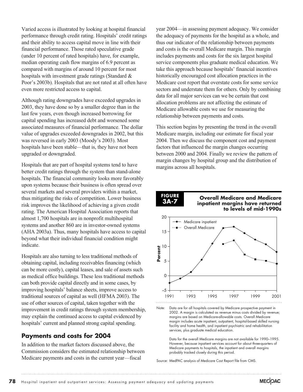Varied access is illustrated by looking at hospital financial performance through credit rating. Hospitals' credit ratings and their ability to access capital move in line with their financial performance. Those rated speculative grade (under 10 percent of rated hospitals) have, for example, median operating cash flow margins of 6.9 percent as compared with margins of around 10 percent for most hospitals with investment grade ratings (Standard & Poor's 2003b). Hospitals that are not rated at all often have even more restricted access to capital.

Although rating downgrades have exceeded upgrades in 2003, they have done so by a smaller degree than in the last few years, even though increased borrowing for capital spending has increased debt and worsened some associated measures of financial performance. The dollar value of upgrades exceeded downgrades in 2002, but this was reversed in early 2003 (Moody's 2003). Most hospitals have been stable—that is, they have not been upgraded or downgraded.

Hospitals that are part of hospital systems tend to have better credit ratings through the system than stand-alone hospitals. The financial community looks more favorably upon systems because their business is often spread over several markets and several providers within a market, thus mitigating the risks of competition. Lower business risk improves the likelihood of achieving a given credit rating. The American Hospital Association reports that almost 1,700 hospitals are in nonprofit multihospital systems and another 860 are in investor-owned systems (AHA 2003a). Thus, many hospitals have access to capital beyond what their individual financial condition might indicate.

Hospitals are also turning to less traditional methods of obtaining capital, including receivables financing (which can be more costly), capital leases, and sale of assets such as medical office buildings. These less traditional methods can both provide capital directly and in some cases, by improving hospitals' balance sheets, improve access to traditional sources of capital as well (HFMA 2003). The use of other sources of capital, taken together with the improvement in credit ratings through system membership, may explain the continued access to capital evidenced by hospitals' current and planned strong capital spending.

# **Payments and costs for 2004**

In addition to the market factors discussed above, the Commission considers the estimated relationship between Medicare payments and costs in the current year—fiscal

year 2004—in assessing payment adequacy. We consider the adequacy of payments for the hospital as a whole, and thus our indicator of the relationship between payments and costs is the overall Medicare margin. This margin includes payments and costs for the six largest hospital service components plus graduate medical education. We take this approach because hospitals' financial incentives historically encouraged cost allocation practices in the Medicare cost report that overstate costs for some service sectors and understate them for others. Only by combining data for all major services can we be certain that cost allocation problems are not affecting the estimate of Medicare allowable costs we use for measuring the relationship between payments and costs.

This section begins by presenting the trend in the overall Medicare margin, including our estimate for fiscal year 2004. Then we discuss the component cost and payment factors that influenced the margin changes occurring between 2000 and 2004. Finally we review the pattern of margin changes by hospital group and the distribution of margins across all hospitals.



#### **Overall Medicare and Medicare inpatient margins have returned to levels of mid-1990s**



Note: Data are for all hospitals covered by Medicare prospective payment in 2002. A margin is calculated as revenue minus costs divided by revenue; margins are based on Medicare-allowable costs. Overall Medicare margin includes acute inpatient, outpatient, hospital-based skilled nursing facility and home health, and inpatient psychiatric and rehabilitation services, plus graduate medical education.

Data for the overall Medicare margins are not available for 1990–1995. However, because inpatient services account for about three-quarters of Medicare payments to hospitals, the inpatient and overall margins probably tracked closely during this period.

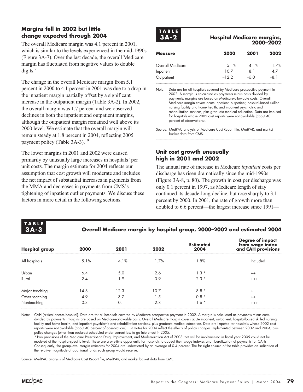#### **Margins fell in 2002 but little change expected through 2004**

The overall Medicare margin was 4.1 percent in 2001, which is similar to the levels experienced in the mid-1990s (Figure 3A-7). Over the last decade, the overall Medicare margin has fluctuated from negative values to double digits.<sup>9</sup>

The change in the overall Medicare margin from 5.1 percent in 2000 to 4.1 percent in 2001 was due to a drop in the inpatient margin partially offset by a significant increase in the outpatient margin (Table 3A-2). In 2002, the overall margin was 1.7 percent and we observed declines in both the inpatient and outpatient margins, although the outpatient margin remained well above its 2000 level. We estimate that the overall margin will remain steady at 1.8 percent in 2004, reflecting 2005 payment policy (Table  $3A-3$ ).<sup>10</sup>

The lower margins in 2001 and 2002 were caused primarily by unusually large increases in hospitals' per unit costs. The margin estimate for 2004 reflects our assumption that cost growth will moderate and includes the net impact of substantial increases in payments from the MMA and decreases in payments from CMS's tightening of inpatient outlier payments. We discuss these factors in more detail in the following sections.



#### **Hospital Medicare margins, 2000–2002**

| <b>Measure</b>   | 2000    | 2001  | 2002 |
|------------------|---------|-------|------|
| Overall Medicare | 5.1%    | 4.1%  | 1.7% |
| Inpatient        | 10 7    | 81    | 47   |
| Outpatient       | $-12.2$ | _ለ () | -81  |

Note: Data are for all hospitals covered by Medicare prospective payment in 2002. A margin is calculated as payments minus costs divided by payments; margins are based on Medicare-allowable costs. Overall Medicare margin covers acute inpatient, outpatient, hospital-based skilled nursing facility and home health, and inpatient psychiatric and rehabilitation services, plus graduate medical education. Data are imputed for hospitals whose 2002 cost reports were not available (about 40 percent of observations).

Source: MedPAC analysis of Medicare Cost Report file, MedPAR, and market basket data from CMS.

#### **Unit cost growth unusually high in 2001 and 2002**

The annual rate of increase in Medicare *inpatient* costs per discharge has risen dramatically since the mid-1990s (Figure 3A-8, p. 80). The growth in cost per discharge was only 0.1 percent in 1997, as Medicare length of stay continued its decade-long decline, but rose sharply to 3.1 percent by 2000. In 2001, the rate of growth more than doubled to 6.6 percent—the largest increase since 1991—

| LABIT |  |
|-------|--|
| А.    |  |

#### **Overall Medicare margin by hospital group, 2000–2002 and estimated 2004**

| <b>Hospital group</b> | 2000   | 2001   | 2002   | <b>Estimated</b><br>2004 | Degree of impact<br>from wage index<br>and CAH provisions |
|-----------------------|--------|--------|--------|--------------------------|-----------------------------------------------------------|
| All hospitals         | 5.1%   | 4.1%   | 1.7%   | $1.8\%$                  | Included                                                  |
| Urban                 | 6.4    | 5.0    | 2.6    | $1.3*$                   | $^{++}$                                                   |
| Rural                 | $-2.4$ | $-1.9$ | $-3.9$ | $2.3*$                   | $+++$                                                     |
| Major teaching        | 14.8   | 12.3   | 10.7   | $8.8*$                   | $\ddot{}$                                                 |
| Other teaching        | 4.9    | 3.7    | 1.5    | $0.8 *$                  | $^{++}$                                                   |
| Nonteaching           | 0.3    | $-0.1$ | $-2.8$ | $-1.6*$                  | $^{+++}$                                                  |

Note: CAH (critical access hospital). Data are for all hospitals covered by Medicare prospective payment in 2002. A margin is calculated as payments minus costs divided by payments; margins are based on Medicare-allowable costs. Overall Medicare margin covers acute inpatient, outpatient, hospital-based skilled nursing facility and home health, and inpatient psychiatric and rehabilitation services, plus graduate medical education. Data are imputed for hospitals whose 2002 cost reports were not available (about 40 percent of observations). Estimates for 2004 reflect the effects of policy changes implemented between 2002 and 2004, plus policy changes (other than updates) scheduled under current law to go into effect in 2005.

\*Two provisions of the Medicare Prescription Drug, Improvement, and Modernization Act of 2003 that will be implemented in fiscal year 2005 could not be modeled at the hospital-specific level. These are a one-time opportunity for hospitals to appeal their wage indexes and liberalization of payments for CAHs. Consequently, the group-level margin estimates for 2004 are understated by an average of 0.4 percent. The far right column of the table provides an indication of the relative magnitude of additional funds each group would receive.

Source: MedPAC analysis of Medicare Cost Report file, MedPAR, and market basket data from CMS.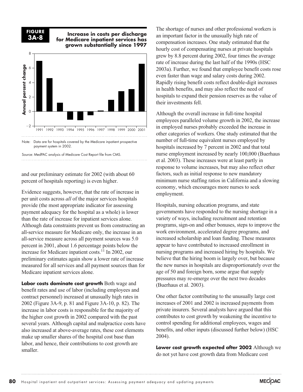

#### **Increase in costs per discharge for Medicare inpatient services has grown substantially since 1997**



payment system in 2002.

and our preliminary estimate for 2002 (with about 60 percent of hospitals reporting) is even higher.

Evidence suggests, however, that the rate of increase in per unit costs across *all* of the major services hospitals provide (the most appropriate indicator for assessing payment adequacy for the hospital as a whole) is lower than the rate of increase for inpatient services alone. Although data constraints prevent us from constructing an all-service measure for Medicare only, the increase in an all-service measure across all payment sources was 5.0 percent in 2001, about 1.6 percentage points below the increase for Medicare inpatient costs.<sup>11</sup> In 2002, our preliminary estimates again show a lower rate of increase measured for all services and all payment sources than for Medicare inpatient services alone.

**Labor costs dominate cost growth** Both wage and benefit rates and use of labor (including employees and contract personnel) increased at unusually high rates in 2002 (Figure 3A-9, p. 81 and Figure 3A-10, p. 82). The increase in labor costs is responsible for the majority of the higher cost growth in 2002 compared with the past several years. Although capital and malpractice costs have also increased at above-average rates, these cost elements make up smaller shares of the hospital cost base than labor, and hence, their contributions to cost growth are smaller.

The shortage of nurses and other professional workers is an important factor in the unusually high rate of compensation increases. One study estimated that the hourly cost of compensating nurses at private hospitals grew by 8.8 percent during 2002, four times the average rate of increase during the last half of the 1990s (HSC 2003a). Further, we found that employee benefit costs rose even faster than wage and salary costs during 2002. Rapidly rising benefit costs reflect double-digit increases in health benefits, and may also reflect the need of hospitals to expand their pension reserves as the value of their investments fell.

Although the overall increase in full-time hospital employees paralleled volume growth in 2002, the increase in employed nurses probably exceeded the increase in other categories of workers. One study estimated that the number of full-time equivalent nurses employed by hospitals increased by 7 percent in 2002 and that total nurse employment increased by nearly 100,000 (Buerhaus et al. 2003). These increases were at least partly in response to volume increases, but may also reflect other factors, such as initial response to new mandatory minimum nurse staffing ratios in California and a slowing economy, which encourages more nurses to seek employment.

Hospitals, nursing education programs, and state governments have responded to the nursing shortage in a variety of ways, including recruitment and retention programs, sign-on and other bonuses, steps to improve the work environment, accelerated degree programs, and increased scholarship and loan funding. These measures appear to have contributed to increased enrollment in nursing programs and increased hiring by hospitals. We believe that the hiring boom is largely over, but because the new nurses in hospitals are disproportionately over the age of 50 and foreign born, some argue that supply pressures may re-emerge over the next two decades (Buerhaus et al. 2003).

One other factor contributing to the unusually large cost increases of 2001 and 2002 is increased payments from private insurers. Several analysts have argued that this contributes to cost growth by weakening the incentive to control spending for additional employees, wages and benefits, and other inputs (discussed further below) (HSC 2004).

**Lower cost growth expected after 2002** Although we do not yet have cost growth data from Medicare cost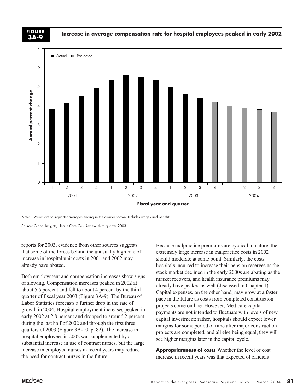**3A-9**

**Increase in average compensation rate for hospital employees peaked in early 2002 FIGURE**



reports for 2003, evidence from other sources suggests that some of the forces behind the unusually high rate of increase in hospital unit costs in 2001 and 2002 may already have abated.

Both employment and compensation increases show signs of slowing. Compensation increases peaked in 2002 at about 5.5 percent and fell to about 4 percent by the third quarter of fiscal year 2003 (Figure 3A-9). The Bureau of Labor Statistics forecasts a further drop in the rate of growth in 2004. Hospital employment increases peaked in early 2002 at 2.8 percent and dropped to around 2 percent during the last half of 2002 and through the first three quarters of 2003 (Figure 3A-10, p. 82). The increase in hospital employees in 2002 was supplemented by a substantial increase in use of contract nurses, but the large increase in employed nurses in recent years may reduce the need for contract nurses in the future.

Because malpractice premiums are cyclical in nature, the extremely large increase in malpractice costs in 2002 should moderate at some point. Similarly, the costs hospitals incurred to increase their pension reserves as the stock market declined in the early 2000s are abating as the market recovers, and health insurance premiums may already have peaked as well (discussed in Chapter 1). Capital expenses, on the other hand, may grow at a faster pace in the future as costs from completed construction projects come on line. However, Medicare capital payments are not intended to fluctuate with levels of new capital investment; rather, hospitals should expect lower margins for some period of time after major construction projects are completed, and all else being equal, they will see higher margins later in the capital cycle.

**Appropriateness of costs** Whether the level of cost increase in recent years was that expected of efficient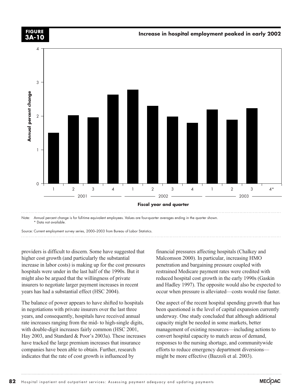

\* Data not available.

providers is difficult to discern. Some have suggested that higher cost growth (and particularly the substantial increase in labor costs) is making up for the cost pressures hospitals were under in the last half of the 1990s. But it might also be argued that the willingness of private insurers to negotiate larger payment increases in recent years has had a substantial effect (HSC 2004).

The balance of power appears to have shifted to hospitals in negotiations with private insurers over the last three years, and consequently, hospitals have received annual rate increases ranging from the mid- to high-single digits, with double-digit increases fairly common (HSC 2001, Hay 2003, and Standard & Poor's 2003a). These increases have tracked the large premium increases that insurance companies have been able to obtain. Further, research indicates that the rate of cost growth is influenced by

financial pressures affecting hospitals (Chalkey and Malcomson 2000). In particular, increasing HMO penetration and bargaining pressure coupled with restrained Medicare payment rates were credited with reduced hospital cost growth in the early 1990s (Gaskin and Hadley 1997). The opposite would also be expected to occur when pressure is alleviated—costs would rise faster.

One aspect of the recent hospital spending growth that has been questioned is the level of capital expansion currently underway. One study concluded that although additional capacity might be needed in some markets, better management of existing resources—including actions to convert hospital capacity to match areas of demand, responses to the nursing shortage, and communitywide efforts to reduce emergency department diversions might be more effective (Bazzoli et al. 2003).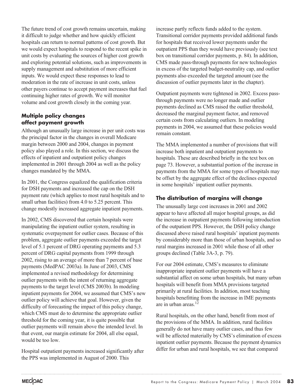The future trend of cost growth remains uncertain, making it difficult to judge whether and how quickly efficient hospitals can return to normal patterns of cost growth. But we would expect hospitals to respond to the recent spike in unit costs by evaluating the sources of higher cost growth and exploring potential solutions, such as improvements in supply management and substitution of more efficient inputs. We would expect these responses to lead to moderation in the rate of increase in unit costs, unless other payers continue to accept payment increases that fuel continuing higher rates of growth. We will monitor volume and cost growth closely in the coming year.

#### **Multiple policy changes affect payment growth**

Although an unusually large increase in per unit costs was the principal factor in the changes in overall Medicare margin between 2000 and 2004, changes in payment policy also played a role. In this section, we discuss the effects of inpatient and outpatient policy changes implemented in 2001 through 2004 as well as the policy changes mandated by the MMA.

In 2001, the Congress equalized the qualification criteria for DSH payments and increased the cap on the DSH payment rate (which applies to most rural hospitals and to small urban facilities) from 4.0 to 5.25 percent. This change modestly increased aggregate inpatient payments.

In 2002, CMS discovered that certain hospitals were manipulating the inpatient outlier system, resulting in systematic overpayment for outlier cases. Because of this problem, aggregate outlier payments exceeded the target level of 5.1 percent of DRG operating payments and 5.3 percent of DRG capital payments from 1999 through 2002, rising to an average of more than 7 percent of base payments (MedPAC 2003a). In June of 2003, CMS implemented a revised methodology for determining outlier payments with the intent of returning aggregate payments to the target level (CMS 2003b). In modeling inpatient payments for 2004, we assumed that CMS's new outlier policy will achieve that goal. However, given the difficulty of forecasting the impact of this policy change, which CMS must do to determine the appropriate outlier threshold for the coming year, it is quite possible that outlier payments will remain above the intended level. In that event, our margin estimate for 2004, all else equal, would be too low.

Hospital outpatient payments increased significantly after the PPS was implemented in August of 2000. This

increase partly reflects funds added to the system. Transitional corridor payments provided additional funds for hospitals that received lower payments under the outpatient PPS than they would have previously (see text box on transitional corridor payments, p. 84). In addition, CMS made pass-through payments for new technologies in excess of the targeted budget-neutrality cap, and outlier payments also exceeded the targeted amount (see the discussion of outlier payments later in the chapter).

Outpatient payments were tightened in 2002. Excess passthrough payments were no longer made and outlier payments declined as CMS raised the outlier threshold, decreased the marginal payment factor, and removed certain costs from calculating outliers. In modeling payments in 2004, we assumed that these policies would remain constant.

The MMA implemented a number of provisions that will increase both inpatient and outpatient payments to hospitals. These are described briefly in the text box on page 73. However, a substantial portion of the increase in payments from the MMA for some types of hospitals may be offset by the aggregate effect of the declines expected in some hospitals' inpatient outlier payments.

#### **The distribution of margins will change**

The unusually large cost increases in 2001 and 2002 appear to have affected all major hospital groups, as did the increase in outpatient payments following introduction of the outpatient PPS. However, the DSH policy change discussed above raised rural hospitals' inpatient payments by considerably more than those of urban hospitals, and so rural margins increased in 2001 while those of all other groups declined (Table 3A-3, p. 79).

For our 2004 estimate, CMS's measures to eliminate inappropriate inpatient outlier payments will have a substantial affect on some urban hospitals, but many urban hospitals will benefit from MMA provisions targeted primarily at rural facilities. In addition, most teaching hospitals benefitting from the increase in IME payments are in urban areas.<sup>12</sup>

Rural hospitals, on the other hand, benefit from most of the provisions of the MMA. In addition, rural facilities generally do not have many outlier cases, and thus few will be affected materially by CMS's elimination of excess inpatient outlier payments. Because the payment dynamics differ for urban and rural hospitals, we see that compared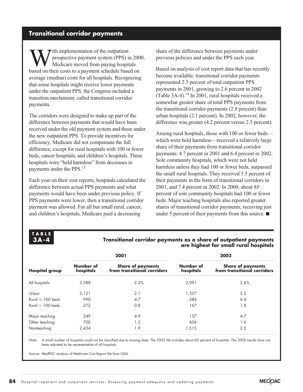# **Transitional corridor payments**

With implementation of the outpatient<br>prospective payment system (PPS) is<br>hased on their costs to a nayment schedule base prospective payment system (PPS) in 2000, Medicare moved from paying hospitals based on their costs to a payment schedule based on average (median) costs for all hospitals. Recognizing that some hospitals might receive lower payments under the outpatient PPS, the Congress included a transition mechanism, called transitional corridor payments.

The corridors were designed to make up part of the difference between payments that would have been received under the old payment system and those under the new outpatient PPS. To provide incentives for efficiency, Medicare did not compensate the full difference, except for rural hospitals with 100 or fewer beds, cancer hospitals, and children's hospitals. These hospitals were "held harmless" from decreases in payments under the PPS.<sup>13</sup>

Each year on their cost reports, hospitals calculated the difference between actual PPS payments and what payments would have been under previous policy. If PPS payments were lower, then a transitional corridor payment was allowed. For all but small rural, cancer, and children's hospitals, Medicare paid a decreasing

share of the difference between payments under previous policies and under the PPS each year.

Based on analysis of cost report data that has recently become available, transitional corridor payments represented 2.3 percent of total outpatient PPS payments in 2001, growing to 2.6 percent in 2002 (Table 3A-4).<sup>14</sup> In 2001, rural hospitals received a somewhat greater share of total PPS payments from the transitional corridor payments (2.8 percent) than urban hospitals (2.1 percent). In 2002, however, the difference was greater (4.2 percent versus 2.3 percent).

Among rural hospitals, those with 100 or fewer beds which were held harmless—received a relatively large share of their payments from transitional corridor payments: 4.7 percent in 2001 and 6.4 percent in 2002. Sole community hospitals, which were not held harmless unless they had 100 or fewer beds, surpassed the small rural hospitals. They received 5.5 percent of their payments in the form of transitional corridors in 2001, and 7.4 percent in 2002. In 2000, about 85 percent of sole community hospitals had 100 or fewer beds. Major teaching hospitals also reported greater shares of transitional corridor payments, receiving just under 5 percent of their payments from this source.  $\blacksquare$ 

#### **TABLE 3A-4**

#### **Transitional corridor payments as a share of outpatient payments are highest for small rural hospitals**

| <b>Hospital group</b> | Number of<br>hospitals | Share of payments<br>from transitional corridors | Number of<br>hospitals | Share of payments<br>from transitional corridors |  |  |
|-----------------------|------------------------|--------------------------------------------------|------------------------|--------------------------------------------------|--|--|
| All hospitals         | 3.388                  | 2.3%                                             | 2.091                  | 2.6%                                             |  |  |
| Urban                 | 2.121                  | 2.1                                              | 1.337                  | 2.3                                              |  |  |
| Rural $\leq 100$ beds | 990                    | 4.7                                              | 584                    | 6.4                                              |  |  |
| Rural $> 100$ beds    | 272                    | 0.8                                              | 167                    | 1.8                                              |  |  |
| Major teaching        | 249                    | 4.9                                              | 137                    | 4.7                                              |  |  |
| Other teaching        | 700                    |                                                  | 436                    | 1.6                                              |  |  |
| Nonteaching           | 2.434                  | . .9                                             | 1.515                  | 2.5                                              |  |  |

Note: A small number of hospitals could not be classified due to missing data. The 2002 file includes about 60 percent of hospitals. The 2002 results have not been adjusted to be representative of all hospitals.

Source: MedPAC analysis of Medicare Cost Report file from CMS.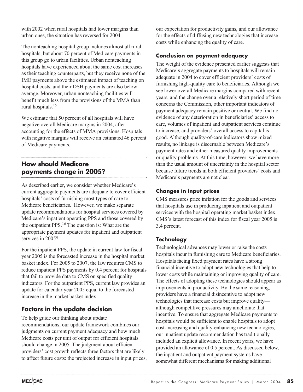with 2002 when rural hospitals had lower margins than urban ones, the situation has reversed for 2004.

The nonteaching hospital group includes almost all rural hospitals, but about 70 percent of Medicare payments in this group go to urban facilities. Urban nonteaching hospitals have experienced about the same cost increases as their teaching counterparts, but they receive none of the IME payments above the estimated impact of teaching on hospital costs, and their DSH payments are also below average. Moreover, urban nonteaching facilities will benefit much less from the provisions of the MMA than rural hospitals.15

We estimate that 50 percent of all hospitals will have negative overall Medicare margins in 2004, after accounting for the effects of MMA provisions. Hospitals with negative margins will receive an estimated 46 percent of Medicare payments.

# **How should Medicare payments change in 2005?**

As described earlier, we consider whether Medicare's current aggregate payments are adequate to cover efficient hospitals' costs of furnishing most types of care to Medicare beneficiaries. However, we make separate update recommendations for hospital services covered by Medicare's inpatient operating PPS and those covered by the outpatient PPS.16 The question is: What are the appropriate payment updates for inpatient and outpatient services in 2005?

For the inpatient PPS, the update in current law for fiscal year 2005 is the forecasted increase in the hospital market basket index. For 2005 to 2007, the law requires CMS to reduce inpatient PPS payments by 0.4 percent for hospitals that fail to provide data to CMS on specified quality indicators. For the outpatient PPS, current law provides an update for calendar year 2005 equal to the forecasted increase in the market basket index.

# **Factors in the update decision**

To help guide our thinking about update recommendations, our update framework combines our judgments on current payment adequacy and how much Medicare costs per unit of output for efficient hospitals should change in 2005. The judgment about efficient providers' cost growth reflects three factors that are likely to affect future costs: the projected increase in input prices,

our expectation for productivity gains, and our allowance for the effects of diffusing new technologies that increase costs while enhancing the quality of care.

#### **Conclusion on payment adequacy**

The weight of the evidence presented earlier suggests that Medicare's aggregate payments to hospitals will remain adequate in 2004 to cover efficient providers' costs of furnishing high-quality care to beneficiaries. Although we see lower overall Medicare margins compared with recent years, and the change over a relatively short period of time concerns the Commission, other important indicators of payment adequacy remain positive or neutral. We find no evidence of any deterioration in beneficiaries' access to care, volumes of inpatient and outpatient services continue to increase, and providers' overall access to capital is good. Although quality-of-care indicators show mixed results, no linkage is discernable between Medicare's payment rates and either measured quality improvements or quality problems. At this time, however, we have more than the usual amount of uncertainty in the hospital sector because future trends in both efficient providers' costs and Medicare's payments are not clear.

#### **Changes in input prices**

CMS measures price inflation for the goods and services that hospitals use in producing inpatient and outpatient services with the hospital operating market basket index. CMS's latest forecast of this index for fiscal year 2005 is 3.4 percent.

#### **Technology**

Technological advances may lower or raise the costs hospitals incur in furnishing care to Medicare beneficiaries. Hospitals facing fixed payment rates have a strong financial incentive to adopt new technologies that help to lower costs while maintaining or improving quality of care. The effects of adopting these technologies should appear as improvements in productivity. By the same reasoning, providers have a financial disincentive to adopt new technologies that increase costs but improve quality although competitive pressures may ameliorate that incentive. To ensure that aggregate Medicare payments to hospitals would be sufficient to enable hospitals to adopt cost-increasing and quality-enhancing new technologies, our inpatient update recommendation has traditionally included an explicit allowance. In recent years, we have provided an allowance of 0.5 percent. As discussed below, the inpatient and outpatient payment systems have somewhat different mechanisms for making additional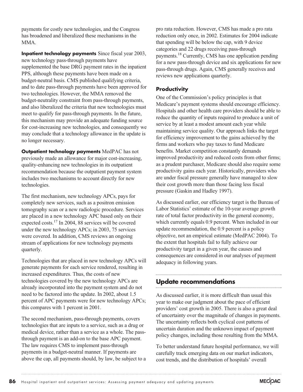payments for costly new technologies, and the Congress has broadened and liberalized these mechanisms in the MMA.

**Inpatient technology payments** Since fiscal year 2003, new technology pass-through payments have supplemented the base DRG payment rates in the inpatient PPS, although these payments have been made on a budget-neutral basis. CMS published qualifying criteria, and to date pass-through payments have been approved for two technologies. However, the MMA removed the budget-neutrality constraint from pass-through payments, and also liberalized the criteria that new technologies must meet to qualify for pass-through payments. In the future, this mechanism may provide an adequate funding source for cost-increasing new technologies, and consequently we may conclude that a technology allowance in the update is no longer necessary.

**Outpatient technology payments** MedPAC has not previously made an allowance for major cost-increasing, quality-enhancing new technologies in its outpatient recommendation because the outpatient payment system includes two mechanisms to account directly for new technologies.

The first mechanism, new technology APCs, pays for completely new services, such as a positron emission tomography scan or a new radiologic procedure. Services are placed in a new technology APC based only on their expected costs.17 In 2004, 88 services will be covered under the new technology APCs; in 2003, 75 services were covered. In addition, CMS reviews an ongoing stream of applications for new technology payments quarterly.

Technologies that are placed in new technology APCs will generate payments for each service rendered, resulting in increased expenditures. Thus, the costs of new technologies covered by the new technology APCs are already incorporated into the payment system and do not need to be factored into the update. In 2002, about 1.5 percent of APC payments were for new technology APCs; this compares with 1 percent in 2001.

The second mechanism, pass-through payments, covers technologies that are inputs to a service, such as a drug or medical device, rather than a service as a whole. The passthrough payment is an add-on to the base APC payment. The law requires CMS to implement pass-through payments in a budget-neutral manner. If payments are above the cap, all payments should, by law, be subject to a

pro rata reduction. However, CMS has made a pro rata reduction only once, in 2002. Estimates for 2004 indicate that spending will be below the cap, with 9 device categories and 22 drugs receiving pass-through payments.18 Currently, CMS has one application pending for a new pass-through device and six applications for new pass-through drugs. Again, CMS generally receives and reviews new applications quarterly.

#### **Productivity**

One of the Commission's policy principles is that Medicare's payment systems should encourage efficiency. Hospitals and other health care providers should be able to reduce the quantity of inputs required to produce a unit of service by at least a modest amount each year while maintaining service quality. Our approach links the target for efficiency improvement to the gains achieved by the firms and workers who pay taxes to fund Medicare benefits. Market competition constantly demands improved productivity and reduced costs from other firms; as a prudent purchaser, Medicare should also require some productivity gains each year. Historically, providers who are under fiscal pressure generally have managed to slow their cost growth more than those facing less fiscal pressure (Gaskin and Hadley 1997).

As discussed earlier, our efficiency target is the Bureau of Labor Statistics' estimate of the 10-year average growth rate of total factor productivity in the general economy, which currently equals 0.9 percent. When included in our update recommendation, the 0.9 percent is a policy objective, not an empirical estimate (MedPAC 2004). To the extent that hospitals fail to fully achieve our productivity target in a given year, the causes and consequences are considered in our analyses of payment adequacy in following years.

# **Update recommendations**

As discussed earlier, it is more difficult than usual this year to make our judgment about the pace of efficient providers' cost growth in 2005. There is also a great deal of uncertainty over the magnitude of changes in payments. The uncertainty reflects both cyclical cost patterns of uncertain duration and the unknown impact of payment policy changes, including those resulting from the MMA.

To better understand future hospital performance, we will carefully track emerging data on our market indicators, cost trends, and the distribution of hospitals' overall

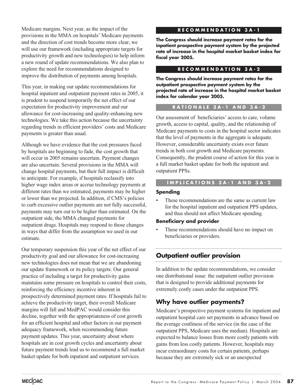Medicare margins. Next year, as the impact of the provisions in the MMA on hospitals' Medicare payments and the direction of cost trends become more clear, we will use our framework (including appropriate targets for productivity growth and new technologies) to help inform a new round of update recommendations. We also plan to explore the need for recommendations designed to improve the distribution of payments among hospitals.

This year, in making our update recommendations for hospital inpatient and outpatient payment rates in 2005, it is prudent to suspend temporarily the net effect of our expectation for productivity improvement and our allowance for cost-increasing and quality-enhancing new technologies. We take this action because the uncertainty regarding trends in efficient providers' costs and Medicare payments is greater than usual.

Although we have evidence that the cost pressures faced by hospitals are beginning to fade, the cost growth that will occur in 2005 remains uncertain. Payment changes are also uncertain. Several provisions in the MMA will change hospital payments, but their full impact is difficult to anticipate. For example, if hospitals reclassify into higher wage index areas or accrue technology payments at different rates than we estimated, payments may be higher or lower than we projected. In addition, if CMS's policies to curb excessive outlier payments are not fully successful, payments may turn out to be higher than estimated. On the outpatient side, the MMA changed payments for outpatient drugs. Hospitals may respond to those changes in ways that differ from the assumption we used in our estimate.

Our temporary suspension this year of the net effect of our productivity goal and our allowance for cost-increasing new technologies does not mean that we are abandoning our update framework or its policy targets. Our general practice of including a target for productivity gains maintains some pressure on hospitals to control their costs, reinforcing the efficiency incentive inherent in prospectively determined payment rates. If hospitals fail to achieve the productivity target, their overall Medicare margins will fall and MedPAC would consider this decline, together with the appropriateness of cost growth for an efficient hospital and other factors in our payment adequacy framework, when recommending future payment updates. This year, uncertainty about where hospitals are in cost growth cycles and uncertainty about future payment trends lead us to recommend a full market basket update for both inpatient and outpatient services.

#### **RECOMMENDATION 3A-1**

**The Congress should increase payment rates for the inpatient prospective payment system by the projected rate of increase in the hospital market basket index for fiscal year 2005.**

#### **RECOMMENDATION 3A-2**

**The Congress should increase payment rates for the outpatient prospective payment system by the projected rate of increase in the hospital market basket index for calendar year 2005.**

#### **RATIONALE 3A-1 AND 3A-2**

Our assessment of beneficiaries' access to care, volume growth, access to capital, quality, and the relationship of Medicare payments to costs in the hospital sector indicates that the level of payments in the aggregate is adequate. However, considerable uncertainty exists over future trends in both cost growth and Medicare payments. Consequently, the prudent course of action for this year is a full market basket update for both the inpatient and outpatient PPSs.

#### **IMPLICATIONS 3A-1 AND 3A-2**

#### **Spending**

These recommendations are the same as current law for the hospital inpatient and outpatient PPS updates, and thus should not affect Medicare spending.

#### **Beneficiary and provider**

These recommendations should have no impact on beneficiaries or providers.

# **Outpatient outlier provision**

In addition to the update recommendations, we consider one distributional issue: the outpatient outlier provision that is designed to provide additional payments for extremely costly cases under the outpatient PPS.

# **Why have outlier payments?**

Medicare's prospective payment systems for inpatient and outpatient hospital care set payments in advance based on the average costliness of the service (in the case of the outpatient PPS, Medicare uses the median). Hospitals are expected to balance losses from more costly patients with gains from less costly patients. However, hospitals may incur extraordinary costs for certain patients, perhaps because they are extremely sick or an unexpected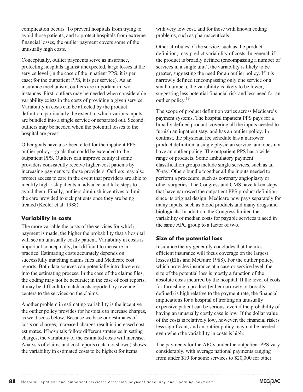complication occurs. To prevent hospitals from trying to avoid those patients, and to protect hospitals from extreme financial losses, the outlier payment covers some of the unusually high costs.

Conceptually, outlier payments serve as insurance, protecting hospitals against unexpected, large losses at the service level (in the case of the inpatient PPS, it is per case; for the outpatient PPS, it is per service). As an insurance mechanism, outliers are important in two instances. First, outliers may be needed when considerable variability exists in the costs of providing a given service. Variability in costs can be affected by the product definition, particularly the extent to which various inputs are bundled into a single service or separated out. Second, outliers may be needed when the potential losses to the hospital are great.

Other goals have also been cited for the inpatient PPS outlier policy—goals that could be extended to the outpatient PPS. Outliers can improve equity if some providers consistently receive higher-cost patients by increasing payments to those providers. Outliers may also protect access to care in the event that providers are able to identify high-risk patients in advance and take steps to avoid them. Finally, outliers diminish incentives to limit the care provided to sick patients once they are being treated (Keeler et al. 1988).

#### **Variability in costs**

The more variable the costs of the services for which payment is made, the higher the probability that a hospital will see an unusually costly patient. Variability in costs is important conceptually, but difficult to measure in practice. Estimating costs accurately depends on successfully matching claims files and Medicare cost reports. Both data sources can potentially introduce error into the estimating process. In the case of the claims files, the coding may not be accurate; in the case of cost reports, it may be difficult to match costs reported by revenue centers to the services on the claims.

Another problem in estimating variability is the incentive the outlier policy provides for hospitals to increase charges, as we discuss below. Because we base our estimates of costs on charges, increased charges result in increased cost estimates. If hospitals follow different strategies in setting charges, the variability of the estimated costs will increase. Analysis of claims and cost reports (data not shown) shows the variability in estimated costs to be highest for items

with very low cost, and for those with known coding problems, such as pharmaceuticals.

Other attributes of the service, such as the product definition, may predict variability of costs. In general, if the product is broadly defined (encompassing a number of services in a single unit), the variability is likely to be greater, suggesting the need for an outlier policy. If it is narrowly defined (encompassing only one service or a small number), the variability is likely to be lower, suggesting less potential financial risk and less need for an outlier policy.<sup>19</sup>

The scope of product definition varies across Medicare's payment systems. The hospital inpatient PPS pays for a broadly defined product, covering all the inputs needed to furnish an inpatient stay, and has an outlier policy. In contrast, the physician fee schedule has a narrower product definition, a single physician service, and does not have an outlier policy. The outpatient PPS has a wide range of products. Some ambulatory payment classification groups include single services, such as an X-ray. Others bundle together all the inputs needed to perform a procedure, such as coronary angioplasty or other surgeries. The Congress and CMS have taken steps that have narrowed the outpatient PPS product definition since its original design. Medicare now pays separately for many inputs, such as blood products and many drugs and biologicals. In addition, the Congress limited the variability of median costs for payable services placed in the same APC group to a factor of two.

#### **Size of the potential loss**

Insurance theory generally concludes that the most efficient insurance will focus coverage on the largest losses (Ellis and McGuire 1988). For the outlier policy, which provides insurance at a case or service level, the size of the potential loss is mostly a function of the absolute costs incurred by the hospital. If the level of costs for furnishing a product (either narrowly or broadly defined) is high relative to the payment rate, the financial implications for a hospital of treating an unusually expensive patient can be serious, even if the probability of having an unusually costly case is low. If the dollar value of the costs is relatively low, however, the financial risk is less significant, and an outlier policy may not be needed, even when the variability in costs is high.

The payments for the APCs under the outpatient PPS vary considerably, with average national payments ranging from under \$10 for some services to \$20,000 for other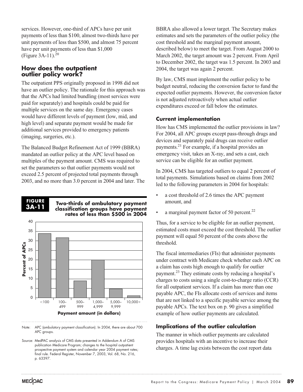services. However, one-third of APCs have per unit payments of less than \$100, almost two-thirds have per unit payments of less than \$500, and almost 75 percent have per unit payments of less than \$1,000 (Figure  $3A-11$ ).<sup>20</sup>

#### **How does the outpatient outlier policy work?**

The outpatient PPS originally proposed in 1998 did not have an outlier policy. The rationale for this approach was that the APCs had limited bundling (most services were paid for separately) and hospitals could be paid for multiple services on the same day. Emergency cases would have different levels of payment (low, mid, and high level) and separate payment would be made for additional services provided to emergency patients (imaging, surgeries, etc.).

The Balanced Budget Refinement Act of 1999 (BBRA) mandated an outlier policy at the APC level based on multiples of the payment amount. CMS was required to set the parameters so that outlier payments would not exceed 2.5 percent of projected total payments through 2003, and no more than 3.0 percent in 2004 and later. The

#### **FIGURE 3A-11**

**Two-thirds of ambulatory payment classification groups have payment rates of less than \$500 in 2004**



Note: APC (ambulatory payment classification). In 2004, there are about 700 APC groups.

Source: MedPAC analysis of CMS data presented in Addendum A of CMS publication Medicare Program; changes to the hospital outpatient prospective payment system and calendar year 2004 payment rates; final rule. Federal Register, November 7, 2003, Vol. 68, No. 216, p. 63397.

BBRA also allowed a lower target. The Secretary makes estimates and sets the parameters of the outlier policy (the cost threshold and the marginal payment amount, described below) to meet the target. From August 2000 to March 2002, the target amount was 2 percent. From April to December 2002, the target was 1.5 percent. In 2003 and 2004, the target was again 2 percent.

By law, CMS must implement the outlier policy to be budget neutral, reducing the conversion factor to fund the expected outlier payments. However, the conversion factor is not adjusted retroactively when actual outlier expenditures exceed or fall below the estimates.

#### **Current implementation**

How has CMS implemented the outlier provisions in law? For 2004, all APC groups except pass-through drugs and devices and separately paid drugs can receive outlier payments.21 For example, if a hospital provides an emergency visit, takes an X-ray, and sets a cast, each service can be eligible for an outlier payment.

In 2004, CMS has targeted outliers to equal 2 percent of total payments. Simulations based on claims from 2002 led to the following parameters in 2004 for hospitals:

- a cost threshold of 2.6 times the APC payment amount, and
- a marginal payment factor of 50 percent.<sup>22</sup>

Thus, for a service to be eligible for an outlier payment, estimated costs must exceed the cost threshold. The outlier payment will equal 50 percent of the costs above the threshold.

The fiscal intermediaries (FIs) that administer payments under contract with Medicare check whether each APC on a claim has costs high enough to qualify for outlier payment.23 They estimate costs by reducing a hospital's charges to costs using a single cost-to-charge ratio (CCR) for all outpatient services. If a claim has more than one payable APC, the FIs allocate costs of services and items that are not linked to a specific payable service among the payable APCs. The text box on p. 90 gives a simplified example of how outlier payments are calculated.

# **Implications of the outlier calculation**

The manner in which outlier payments are calculated provides hospitals with an incentive to increase their charges. A time lag exists between the cost report data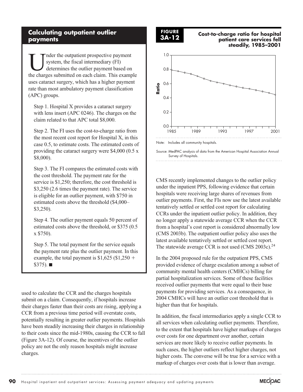#### **Calculating outpatient outlier payments**

The properties are submitted on each claim. This example of the charges submitted on each claim. This example system, the fiscal intermediary (FI) determines the outlier payment based on the charges submitted on each claim. This example uses cataract surgery, which has a higher payment rate than most ambulatory payment classification (APC) groups.

Step 1. Hospital X provides a cataract surgery with lens insert (APC 0246). The charges on the claim related to that APC total \$8,000.

Step 2. The FI uses the cost-to-charge ratio from the most recent cost report for Hospital X, in this case 0.5, to estimate costs. The estimated costs of providing the cataract surgery were \$4,000 (0.5 x \$8,000).

Step 3. The FI compares the estimated costs with the cost threshold. The payment rate for the service is \$1,250; therefore, the cost threshold is \$3,250 (2.6 times the payment rate). The service is eligible for an outlier payment, with \$750 in estimated costs above the threshold (\$4,000– \$3,250).

Step 4. The outlier payment equals 50 percent of estimated costs above the threshold, or \$375 (0.5 x \$750).

Step 5. The total payment for the service equals the payment rate plus the outlier payment. In this example, the total payment is  $$1,625$  ( $$1,250$  +  $$375)$ .

used to calculate the CCR and the charges hospitals submit on a claim. Consequently, if hospitals increase their charges faster than their costs are rising, applying a CCR from a previous time period will overstate costs, potentially resulting in greater outlier payments. Hospitals have been steadily increasing their charges in relationship to their costs since the mid-1980s, causing the CCR to fall (Figure 3A-12). Of course, the incentives of the outlier policy are not the only reason hospitals might increase charges.

#### **FIGURE 3A-12**

**Cost-to-charge ratio for hospital patient care services fell steadily, 1985–2001**



CMS recently implemented changes to the outlier policy under the inpatient PPS, following evidence that certain hospitals were receiving large shares of revenues from outlier payments. First, the FIs now use the latest available tentatively settled or settled cost report for calculating CCRs under the inpatient outlier policy. In addition, they no longer apply a statewide average CCR when the CCR from a hospital's cost report is considered abnormally low (CMS 2003b). The outpatient outlier policy also uses the latest available tentatively settled or settled cost report. The statewide average CCR is not used (CMS 2003c).<sup>24</sup>

In the 2004 proposed rule for the outpatient PPS, CMS provided evidence of charge escalation among a subset of community mental health centers (CMHCs) billing for partial hospitalization services. Some of these facilities received outlier payments that were equal to their base payments for providing services. As a consequence, in 2004 CMHCs will have an outlier cost threshold that is higher than that for hospitals.

In addition, the fiscal intermediaries apply a single CCR to all services when calculating outlier payments. Therefore, to the extent that hospitals have higher markups of charges over costs for one department over another, certain services are more likely to receive outlier payments. In such cases, the higher outliers reflect higher charges, not higher costs. The converse will be true for a service with a markup of charges over costs that is lower than average.

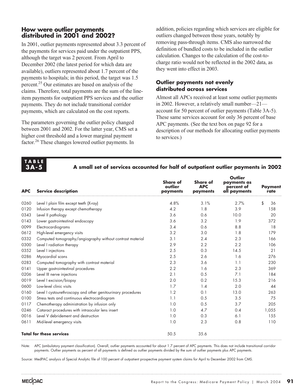#### **How were outlier payments distributed in 2001 and 2002?**

In 2001, outlier payments represented about 3.3 percent of the payments for services paid under the outpatient PPS, although the target was 2 percent. From April to December 2002 (the latest period for which data are available), outliers represented about 1.7 percent of the payments to hospitals; in this period, the target was 1.5 percent.25 Our estimates are based on analysis of the claims. Therefore, total payments are the sum of the lineitem payments for outpatient PPS services and the outlier payments. They do not include transitional corridor payments, which are calculated on the cost reports.

The parameters governing the outlier policy changed between 2001 and 2002. For the latter year, CMS set a higher cost threshold and a lower marginal payment factor.<sup>26</sup> These changes lowered outlier payments. In

addition, policies regarding which services are eligible for outliers changed between those years, notably by removing pass-through items. CMS also narrowed the definition of bundled costs to be included in the outlier calculation. Changes to the calculation of the cost-tocharge ratio would not be reflected in the 2002 data, as they went into effect in 2003.

#### **Outlier payments not evenly distributed across services**

Almost all APCs received at least some outlier payments in 2002. However, a relatively small number—21 account for 50 percent of outlier payments (Table 3A-5). These same services account for only 36 percent of base APC payments. (See the text box on page 92 for a description of our methods for allocating outlier payments to services.)

#### **TABLE 3A-5**

#### **A small set of services accounted for half of outpatient outlier payments in 2002**

| <b>APC</b> | <b>Service description</b>                                   | <b>Share of</b><br>outlier<br>payments | <b>Share of</b><br><b>APC</b><br>payments | Outlier<br>payments as<br>percent of<br>all payments | <b>Payment</b><br>rate |
|------------|--------------------------------------------------------------|----------------------------------------|-------------------------------------------|------------------------------------------------------|------------------------|
| 0260       | Level I plain film except teeth (X-ray)                      | 4.8%                                   | 3.1%                                      | 2.7%                                                 | \$<br>36               |
| 0120       | Infusion therapy except chemotherapy                         | 4.2                                    | 1.8                                       | 3.9                                                  | 158                    |
| 0343       | Level II pathology                                           | 3.6                                    | 0.6                                       | 10.0                                                 | 20                     |
| 0143       | Lower gastrointestinal endoscopy                             | 3.6                                    | 3.2                                       | 1.9                                                  | 372                    |
| 0099       | Electrocardiograms                                           | 3.4                                    | 0.6                                       | 8.8                                                  | 18                     |
| 0612       | High-level emergency visits                                  | 3.2                                    | 3.0                                       | 1.8                                                  | 179                    |
| 0332       | Computed tomography/angiography without contrast material    | 3.1                                    | 2.4                                       | 2.3                                                  | 166                    |
| 0300       | Level I radiation therapy                                    | 2.9                                    | 2.2                                       | 2.2                                                  | 106                    |
| 0352       | Level I injections                                           | 2.5                                    | 0.3                                       | 14.5                                                 | 21                     |
| 0286       | Myocardial scans                                             | 2.5                                    | 2.6                                       | 1.6                                                  | 276                    |
| 0283       | Computed tomography with contrast material                   | 2.3                                    | 3.6                                       | 1.1                                                  | 230                    |
| 0141       | Upper gastrointestinal procedures                            | 2.2                                    | 1.6                                       | 2.3                                                  | 369                    |
| 0206       | Level III nerve injections                                   | 2.1                                    | 0.5                                       | 7.1                                                  | 184                    |
| 0019       | Level I excision/biopsy                                      | 2.0                                    | 0.2                                       | 15.3                                                 | 216                    |
| 0600       | Low-level clinic visits                                      | 1.7                                    | 1.4                                       | 2.0                                                  | 44                     |
| 0160       | Level I cystourethroscopy and other genitourinary procedures | 1.2                                    | 0.1                                       | 13.0                                                 | 263                    |
| 0100       | Stress tests and continuous electrocardiogram                | 1.1                                    | 0.5                                       | 3.5                                                  | 75                     |
| 0117       | Chemotherapy administration by infusion only                 | 1.0                                    | 0.5                                       | 3.7                                                  | 205                    |
| 0246       | Cataract procedures with intraocular lens insert             | 1.0                                    | 4.7                                       | 0.4                                                  | 1,055                  |
| 0016       | Level V debridement and destruction                          | 1.0                                    | 0.3                                       | 6.1                                                  | 155                    |
| 0611       | Mid-level emergency visits                                   | 1.0                                    | 2.3                                       | 0.8                                                  | 110                    |
|            | <b>Total for these services</b>                              | 50.5                                   | 35.6                                      |                                                      |                        |

Note: APC (ambulatory payment classification). Overall, outlier payments accounted for about 1.7 percent of APC payments. This does not include transitional corridor payments. Outlier payments as percent of all payments is defined as outlier payments divided by the sum of outlier payments plus APC payments.

Source: MedPAC analysis of Special Analytic file of 100 percent of outpatient prospective payment system claims for April to December 2002 from CMS.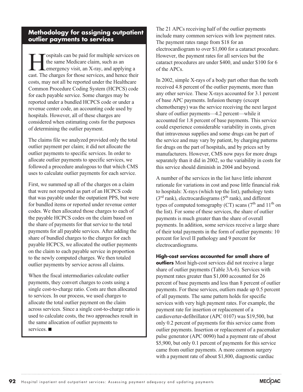#### on the claim to each payable service in proportion to the newly computed charges. We then totaled outlier payments by service across all claims.

**Methodology for assigning outpatient**

**EXECUTE SET SET ASSEMBED SET AND SET SET AND SET ALL STATES SET AND SET ALL STATES CHARGES AND SET AND SET AND SET AND SET AND SET AND SET AND SET AND SET AND SET AND SET AND SET AND SET AND SET AND SET AND SET AND SET AN** the same Medicare claim, such as an emergency visit, an X-ray, and applying a cast. The charges for those services, and hence their costs, may not all be reported under the Healthcare Common Procedure Coding System (HCPCS) code for each payable service. Some charges may be reported under a bundled HCPCS code or under a revenue center code, an accounting code used by hospitals. However, all of these charges are

considered when estimating costs for the purposes

The claims file we analyzed provided only the total outlier payment per claim; it did not allocate the outlier payments to specific services. In order to allocate outlier payments to specific services, we followed a procedure analogous to that which CMS uses to calculate outlier payments for each service.

First, we summed up all of the charges on a claim that were not reported as part of an HCPCS code that was payable under the outpatient PPS, but were for bundled items or reported under revenue center codes. We then allocated those charges to each of the payable HCPCS codes on the claim based on the share of payments for that service to the total payments for all payable services. After adding the share of bundled charges to the charges for each payable HCPCS, we allocated the outlier payments

of determining the outlier payment.

**outlier payments to services** 

When the fiscal intermediaries calculate outlier payments, they convert charges to costs using a single cost-to-charge ratio. Costs are then allocated to services. In our process, we used charges to allocate the total outlier payment on the claim across services. Since a single cost-to-charge ratio is used to calculate costs, the two approaches result in the same allocation of outlier payments to services.  $\blacksquare$ 

The 21 APCs receiving half of the outlier payments include many common services with low payment rates. The payment rates range from \$18 for an electrocardiogram to over \$1,000 for a cataract procedure. However, the payment rates for all services but the cataract procedures are under \$400, and under \$100 for 6 of the APCs.

In 2002, simple X-rays of a body part other than the teeth received 4.8 percent of the outlier payments, more than any other service. These X-rays accounted for 3.1 percent of base APC payments. Infusion therapy (except chemotherapy) was the service receiving the next largest share of outlier payments—4.2 percent—while it accounted for 1.8 percent of base payments. This service could experience considerable variability in costs, given that intravenous supplies and some drugs can be part of the service and may vary by patient, by charging patterns for drugs on the part of hospitals, and by prices set by manufacturers. However, CMS now pays for more drugs separately than it did in 2002, so the variability in costs for this service should diminish in 2004 and beyond.

A number of the services in the list have little inherent rationale for variations in cost and pose little financial risk to hospitals: X-rays (which top the list), pathology tests  $(3<sup>rd</sup> rank)$ , electrocardiograms  $(5<sup>th</sup> rank)$ , and different types of computed tomography (CT) scans ( $7<sup>th</sup>$  and  $11<sup>th</sup>$  on the list). For some of these services, the share of outlier payments is much greater than the share of overall payments. In addition, some services receive a large share of their total payments in the form of outlier payments: 10 percent for level II pathology and 9 percent for electrocardiograms.

#### **High-cost services accounted for small share of**

**outliers** Most high-cost services did not receive a large share of outlier payments (Table 3A-6). Services with payment rates greater than \$1,000 accounted for 26 percent of base payments and less than 8 percent of outlier payments. For these services, outliers made up 0.5 percent of all payments. The same pattern holds for specific services with very high payment rates. For example, the payment rate for insertion or replacement of a cardioverter-defibrillator (APC 0107) was \$19,500, but only 0.2 percent of payments for this service came from outlier payments. Insertion or replacement of a pacemaker pulse generator (APC 0090) had a payment rate of about \$5,900, but only 0.1 percent of payments for this service came from outlier payments. A more common surgery with a payment rate of about \$1,800, diagnostic cardiac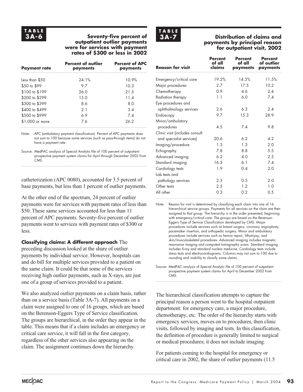#### **Seventy-five percent of outpatient outlier payments were for services with payment rates of \$300 or less in 2002 3A-6 Distribution of claims and**

| <b>Payment rate</b> | <b>Percent of outlier</b><br>payments | <b>Percent of APC</b><br>payments |
|---------------------|---------------------------------------|-----------------------------------|
| Less than \$50      | 24.1%                                 | 10.9%                             |
| \$50 to \$99        | 97                                    | 10.3                              |
| \$100 to \$199      | 26 O                                  | 21.5                              |
| \$200 to \$299      | 15.0                                  | 11.4                              |
| \$300 to \$399      | 8.6                                   | 80                                |
| \$400 to \$499      | 21                                    | 3.4                               |
| \$500 to \$999      | 69                                    | 7.4                               |
| \$1,000 or more     | 7.6                                   | 26.2                              |

Note: APC (ambulatory payment classification). Percent of APC payments does not sum to 100 because some services (such as pass-through items) do not have a payment rate.

Source: MedPAC analysis of Special Analytic file of 100 percent of outpatient prospective payment system claims for April through December 2002 from CMS.

catheterization (APC 0080), accounted for 3.5 percent of base payments, but less than 1 percent of outlier payments.

At the other end of the spectrum, 24 percent of outlier payments were for services with payment rates of less than \$50. These same services accounted for less than 11 percent of APC payments. Seventy-five percent of outlier payments went to services with payment rates of \$300 or less.

#### **Classifying claims: A different approach** The

preceding discussion looked at the share of outlier payments by individual service. However, hospitals can and do bill for multiple services provided to a patient on the same claim. It could be that some of the services receiving high outlier payments, such as X-rays, are just one of a group of services provided to a patient.

We also analyzed outlier payments on a claim basis, rather than on a service basis (Table 3A-7). All payments on a claim were assigned to one of 16 groups, which are based on the Berenson-Eggers Type of Service classification. The groups are hierarchical, in the order they appear in the table. This means that if a claim includes an emergency or critical care service, it will fall in the first category, regardless of the other services also appearing on the claim. The assignment continues down the hierarchy.



# **payments by principal reason for outpatient visit, 2002**

| <b>Reason for visit</b>        | Percent<br>of all<br>claims | <b>Percent</b><br>of all<br>payments | <b>Percent</b><br>of outlier<br>payments |
|--------------------------------|-----------------------------|--------------------------------------|------------------------------------------|
| Emergency/critical care        | 19.2%                       | 14.3%                                | 11.5%                                    |
| Major procedures               | 27                          | 17.5                                 | 10.2 <sup>2</sup>                        |
| Chemotherapy                   | 0.9                         | 46                                   | 24                                       |
| Radiation therapy              | 1.1                         | 6.0                                  | 7.4                                      |
| Eye procedures and             |                             |                                      |                                          |
| ophthalmology services         | 2.6                         | 6.3                                  | 24                                       |
| Endoscopy                      | 9.7                         | 15.3                                 | 28.9                                     |
| Minor/ambulatory               |                             |                                      |                                          |
| procedures                     | 4.5                         | 7.4                                  | 9.8                                      |
| Clinic visit (includes consult |                             |                                      |                                          |
| and specialist services)       | 20.6                        | 6.2                                  | 4.2                                      |
| Imaging/procedure              | 1.3                         | 1 <sub>3</sub>                       | 2.0                                      |
| Echography                     | 7.8                         | 8.8                                  | .5.5                                     |
| Advanced imaging               | 6.2                         | 40                                   | 2.5                                      |
| Standard imaging               | 16.3                        | 6 <sub>1</sub>                       | 7.4                                      |
| Cardiology tests               | 1.9                         | 0.4                                  | 2.0                                      |
| Lab tests and                  |                             |                                      |                                          |
| pathology services             | 2.5                         | 0.5                                  | 2.0                                      |
| Other tests                    | 2.5                         | 1.2                                  | 1.0                                      |
| All other                      | 0.3                         | 0.2                                  | 0.5                                      |

Note: Reason for visit is determined by classifying each claim into one of 16 hierarchical service groups. Payments for all services on the claim are then assigned to that group. The hierarchy is in the order presented, beginning with emergency/critical care. The groups are based on the Berenson-Eggers Type of Service Classification developed by CMS. Major procedures include services such as breast surgery, coronary angioplasty, pacemaker insertion, and orthopedic surgery. Minor and ambulatory procedures include services such as hernia repair, lithotripsy, and skin/musculoskeletal procedures. Advanced imaging includes magnetic resonance imaging and computed tomography scans. Standard imaging includes X-ray and standard nuclear medicine. Cardiology tests include stress tests and electrocardiograms. Columns may not sum to 100 due to rounding and inability to classify some claims.

Source: MedPAC analysis of Special Analytic file of 100 percent of outpatient prospective payment system claims for April to December 2002 from CMS.

The hierarchical classification attempts to capture the principal reason a person went to the hospital outpatient department: for emergency care, a major procedure, chemotherapy, etc. The order of the hierarchy starts with emergency services, moves on to procedures, then clinic visits, followed by imaging and tests. In this classification, the definition of procedure is generally limited to surgical or medical procedures; it does not include imaging.

For patients coming to the hospital for emergency or critical care in 2002, the share of outlier payments (11.5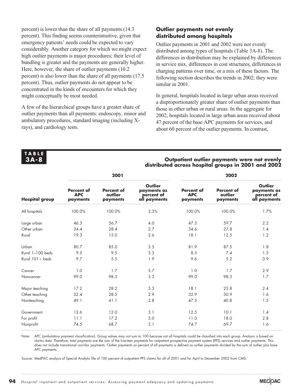percent) is lower than the share of all payments (14.3 percent). This finding seems counterintuitive, given that emergency patients' needs could be expected to vary considerably. Another category for which we might expect high outlier payments is major procedures; their level of bundling is greater and the payments are generally higher. Here, however, the share of outlier payments (10.2 percent) is also lower than the share of all payments (17.5 percent). Thus, outlier payments do not appear to be concentrated in the kinds of encounters for which they might conceptually be most needed.

A few of the hierarchical groups have a greater share of outlier payments than all payments: endoscopy, minor and ambulatory procedures, standard imaging (including Xrays), and cardiology tests.

#### **Outlier payments not evenly distributed among hospitals**

Outlier payments in 2001 and 2002 were not evenly distributed among types of hospitals (Table 3A-8). The differences in distribution may be explained by differences in service mix, differences in cost structures, differences in charging patterns over time, or a mix of these factors. The following section describes the trends in 2002; they were similar in 2001.

In general, hospitals located in large urban areas received a disproportionately greater share of outlier payments than those in other urban or rural areas. In the aggregate for 2002, hospitals located in large urban areas received about 47 percent of the base APC payments for services, and about 60 percent of the outlier payments. In contrast,

#### **TABLE 3A-8**

#### **Outpatient outlier payments were not evenly distributed across hospital groups in 2001 and 2002**

|                       |                                             | 2001                                     |                                                             | 2002                                        |                                          |                                                      |  |
|-----------------------|---------------------------------------------|------------------------------------------|-------------------------------------------------------------|---------------------------------------------|------------------------------------------|------------------------------------------------------|--|
| <b>Hospital group</b> | <b>Percent of</b><br><b>APC</b><br>payments | <b>Percent of</b><br>outlier<br>payments | <b>Outlier</b><br>payments as<br>percent of<br>all payments | <b>Percent of</b><br><b>APC</b><br>payments | <b>Percent of</b><br>outlier<br>payments | Outlier<br>payments as<br>percent of<br>all payments |  |
| All hospitals         | 100.0%                                      | 100.0%                                   | 3.3%                                                        | 100.0%                                      | 100.0%                                   | 1.7%                                                 |  |
| Large urban           | 46.3                                        | 56.7                                     | 4.0                                                         | 47.3                                        | 59.7                                     | 2.2                                                  |  |
| Other urban           | 34.4                                        | 28.4                                     | 2.7                                                         | 34.6                                        | 27.8                                     | 1.4                                                  |  |
| Rural                 | 19.3                                        | 15.0                                     | 2.6                                                         | 18.1                                        | 12.5                                     | 1.2                                                  |  |
| Urban                 | 80.7                                        | 85.0                                     | 3.5                                                         | 81.9                                        | 87.5                                     | 1.8                                                  |  |
| Rural 1-100 beds      | 9.5                                         | 9.5                                      | 3.3                                                         | 8.5                                         | 7.4                                      | 1.5                                                  |  |
| Rural $101 +$ beds    | 9.7                                         | 5.5                                      | 1.9                                                         | 9.6                                         | 5.2                                      | 0.9                                                  |  |
| Cancer                | 1.0                                         | 1.7                                      | 5.7                                                         | 1.0                                         | 1.7                                      | 2.9                                                  |  |
| Noncancer             | 99.0                                        | 98.3                                     | 3.3                                                         | 99.0                                        | 98.3                                     | 1.7                                                  |  |
| Major teaching        | 17.2                                        | 28.2                                     | 5.3                                                         | 18.1                                        | 25.8                                     | 2.4                                                  |  |
| Other teaching        | 32.4                                        | 28.5                                     | 2.9                                                         | 32.9                                        | 30.9                                     | 1.6                                                  |  |
| Nonteaching           | 49.1                                        | 41.1                                     | 2.8                                                         | 47.5                                        | 40.8                                     | 1.5                                                  |  |
| Government            | 12.6                                        | 12.0                                     | 3.1                                                         | 12.5                                        | 10.1                                     | 1.4                                                  |  |
| For profit            | 11.1                                        | 17.2                                     | 5.0                                                         | 11.0                                        | 18.0                                     | 2.8                                                  |  |
| Nonprofit             | 74.5                                        | 68.7                                     | 3.1                                                         | 74.7                                        | 69.7                                     | 1.6                                                  |  |

Note: APC (ambulatory payment classification). Group values may not sum to 100 because not all hospitals could be classified into each group. Analysis is based on claims data. Therefore, total payments are the sum of the line-item payments for outpatient prospective payment system (PPS) services and outlier payments. This does not include transitional corridor payments. Outlier payments as percent of all payments is defined as outlier payments divided by the sum of outlier plus base APC payments.

Source: MedPAC analysis of Special Analytic file of 100 percent of outpatient PPS claims for all of 2001 and for April to December 2002 from CMS.

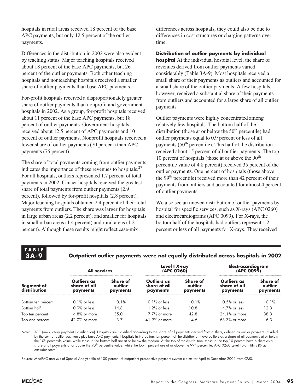hospitals in rural areas received 18 percent of the base APC payments, but only 12.5 percent of the outlier payments.

Differences in the distribution in 2002 were also evident by teaching status. Major teaching hospitals received about 18 percent of the base APC payments, but 26 percent of the outlier payments. Both other teaching hospitals and nonteaching hospitals received a smaller share of outlier payments than base APC payments.

For-profit hospitals received a disproportionately greater share of outlier payments than nonprofit and government hospitals in 2002. As a group, for-profit hospitals received about 11 percent of the base APC payments, but 18 percent of outlier payments. Government hospitals received about 12.5 percent of APC payments and 10 percent of outlier payments. Nonprofit hospitals received a lower share of outlier payments (70 percent) than APC payments (75 percent).

The share of total payments coming from outlier payments indicates the importance of these revenues to hospitals. $27$ For all hospitals, outliers represented 1.7 percent of total payments in 2002. Cancer hospitals received the greatest share of total payments from outlier payments (2.9 percent), followed by for-profit hospitals (2.8 percent). Major teaching hospitals obtained 2.4 percent of their total payments from outliers. The share was larger for hospitals in large urban areas (2.2 percent), and smaller for hospitals in small urban areas (1.4 percent) and rural areas (1.2 percent). Although these results might reflect case-mix

differences across hospitals, they could also be due to differences in cost structures or charging patterns over time.

**Distribution of outlier payments by individual hospital** At the individual hospital level, the share of revenues derived from outlier payments varied considerably (Table 3A-9). Most hospitals received a small share of their payments as outliers and accounted for a small share of the outlier payments. A few hospitals, however, received a substantial share of their payments from outliers and accounted for a large share of all outlier payments.

Outlier payments were highly concentrated among relatively few hospitals. The bottom half of the distribution (those at or below the  $50<sup>th</sup>$  percentile) had outlier payments equal to 0.9 percent or less of all payments  $(50<sup>th</sup>$  percentile). This half of the distribution received about 15 percent of all outlier payments. The top 10 percent of hospitals (those at or above the  $90<sup>th</sup>$ percentile value of 4.8 percent) received 35 percent of the outlier payments. One percent of hospitals (those above the 99<sup>th</sup> percentile) received more than 42 percent of their payments from outliers and accounted for almost 4 percent of outlier payments.

We also see an uneven distribution of outlier payments by hospital for specific services, such as X-rays (APC 0260) and electrocardiograms (APC 0099). For X-rays, the bottom half of the hospitals had outliers represent 1.2 percent or less of all payments for X-rays. They received

**TABLE 3A-9**

#### **Outpatient outlier payments were not equally distributed across hospitals in 2002**

|                            | <b>All services</b>                     |                                 | Level I X-ray<br>(APC 0260)             |                                 | Electrocardiogram<br>(APC 0099)         |                                 |  |
|----------------------------|-----------------------------------------|---------------------------------|-----------------------------------------|---------------------------------|-----------------------------------------|---------------------------------|--|
| Segment of<br>distribution | Outliers as<br>share of all<br>payments | Share of<br>outlier<br>payments | Outliers as<br>share of all<br>payments | Share of<br>outlier<br>payments | Outliers as<br>share of all<br>payments | Share of<br>outlier<br>payments |  |
| Bottom ten percent         | $0.1\%$ or less                         | 0.1%                            | $0.1\%$ or less                         | 0.1%                            | $0.5\%$ or less                         | 0.1%                            |  |
| Bottom half                | $0.9%$ or less                          | 14.8                            | $1.2\%$ or less                         | 10.8                            | $4.7\%$ or less                         | 12.3                            |  |
| Top ten percent            | $4.8\%$ or more                         | 35.0                            | $7.7\%$ or more                         | 42.8                            | $24.1\%$ or more                        | 38.3                            |  |
| Top one percent            | $42.0\%$ or more                        | 3.7                             | $41.9\%$ or more                        | 4.6                             | $63.7\%$ or more                        | 6.3                             |  |

Note: APC (ambulatory payment classification). Hospitals are classified according to the share of all payments derived from outliers, defined as outlier payments divided by the sum of outlier payments plus base APC payments. Hospitals in the bottom ten percent of the distribution have outliers as a share of all payments at or below the 10<sup>th</sup> percentile value, while those in the bottom half are at or below the median. At the top of the distribution, those in the top 10 percent have outliers as a share of all payments at or above the 90<sup>th</sup> percentile value, while the top 1 percent are at or above the 99<sup>th</sup> percentile. APC 0260 Level I plain films (X-ray) excludes teeth.

Source: MedPAC analysis of Special Analytic file of 100 percent of outpatient prospective payment system claims for April to December 2002 from CMS.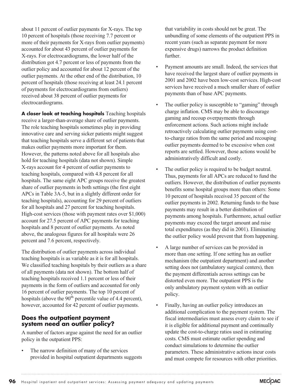about 11 percent of outlier payments for X-rays. The top 10 percent of hospitals (those receiving 7.7 percent or more of their payments for X-rays from outlier payments) accounted for about 43 percent of outlier payments for X-rays. For electrocardiograms, the lower half of the distribution got 4.7 percent or less of payments from the outlier policy and accounted for about 12 percent of the outlier payments. At the other end of the distribution, 10 percent of hospitals (those receiving at least 24.1 percent of payments for electrocardiograms from outliers) received about 38 percent of outlier payments for electrocardiograms.

**A closer look at teaching hospitals** Teaching hospitals receive a larger-than-average share of outlier payments. The role teaching hospitals sometimes play in providing innovative care and serving sicker patients might suggest that teaching hospitals serve a different set of patients that makes outlier payments more important for them. However, the patterns noted above for all hospitals also hold for teaching hospitals (data not shown). Simple X-rays account for 4 percent of outlier payments to teaching hospitals, compared with 4.8 percent for all hospitals. The same eight APC groups receive the greatest share of outlier payments in both settings (the first eight APCs in Table 3A-5, but in a slightly different order for teaching hospitals), accounting for 29 percent of outliers for all hospitals and 27 percent for teaching hospitals. High-cost services (those with payment rates over \$1,000) account for 27.5 percent of APC payments for teaching hospitals and 8 percent of outlier payments. As noted above, the analogous figures for all hospitals were 26 percent and 7.6 percent, respectively.

The distribution of outlier payments across individual teaching hospitals is as variable as it is for all hospitals. We classified teaching hospitals by their outliers as a share of all payments (data not shown). The bottom half of teaching hospitals received 1.1 percent or less of their payments in the form of outliers and accounted for only 16 percent of outlier payments. The top 10 percent of hospitals (above the  $90<sup>th</sup>$  percentile value of 4.4 percent), however, accounted for 42 percent of outlier payments.

#### **Does the outpatient payment system need an outlier policy?**

A number of factors argue against the need for an outlier policy in the outpatient PPS:

The narrow definition of many of the services provided in hospital outpatient departments suggests

that variability in costs should not be great. The unbundling of some elements of the outpatient PPS in recent years (such as separate payment for more expensive drugs) narrows the product definition further.

- Payment amounts are small. Indeed, the services that have received the largest share of outlier payments in 2001 and 2002 have been low-cost services. High-cost services have received a much smaller share of outlier payments than of base APC payments.
- The outlier policy is susceptible to "gaming" through charge inflation. CMS may be able to discourage gaming and recoup overpayments through enforcement actions. Such actions might include retroactively calculating outlier payments using costto-charge ratios from the same period and recouping outlier payments deemed to be excessive when cost reports are settled. However, those actions would be administratively difficult and costly.
- The outlier policy is required to be budget neutral. Thus, payments for all APCs are reduced to fund the outliers. However, the distribution of outlier payments benefits some hospital groups more than others: Some 10 percent of hospitals received 35 percent of the outlier payments in 2002. Returning funds to the base payments may result in a better distribution of payments among hospitals. Furthermore, actual outlier payments may exceed the target amount and raise total expenditures (as they did in 2001). Eliminating the outlier policy would prevent that from happening.
- A large number of services can be provided in more than one setting. If one setting has an outlier mechanism (the outpatient department) and another setting does not (ambulatory surgical centers), then the payment differentials across settings can be distorted even more. The outpatient PPS is the only ambulatory payment system with an outlier policy.
- Finally, having an outlier policy introduces an additional complication to the payment system. The fiscal intermediaries must assess every claim to see if it is eligible for additional payment and continually update the cost-to-charge ratios used in estimating costs. CMS must estimate outlier spending and conduct simulations to determine the outlier parameters. These administrative actions incur costs and must compete for resources with other priorities.

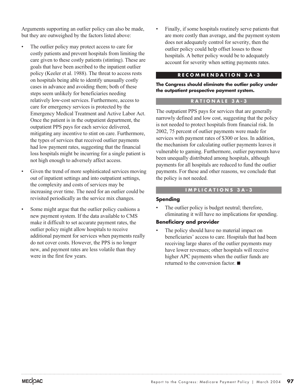Arguments supporting an outlier policy can also be made, but they are outweighed by the factors listed above:

- The outlier policy may protect access to care for costly patients and prevent hospitals from limiting the care given to these costly patients (stinting). These are goals that have been ascribed to the inpatient outlier policy (Keeler et al. 1988). The threat to access rests on hospitals being able to identify unusually costly cases in advance and avoiding them; both of these steps seem unlikely for beneficiaries needing relatively low-cost services. Furthermore, access to care for emergency services is protected by the Emergency Medical Treatment and Active Labor Act. Once the patient is in the outpatient department, the outpatient PPS pays for each service delivered, mitigating any incentive to stint on care. Furthermore, the types of services that received outlier payments had low payment rates, suggesting that the financial loss hospitals might be incurring for a single patient is not high enough to adversely affect access.
- Given the trend of more sophisticated services moving out of inpatient settings and into outpatient settings, the complexity and costs of services may be increasing over time. The need for an outlier could be revisited periodically as the service mix changes.
- Some might argue that the outlier policy cushions a new payment system. If the data available to CMS make it difficult to set accurate payment rates, the outlier policy might allow hospitals to receive additional payment for services when payments really do not cover costs. However, the PPS is no longer new, and payment rates are less volatile than they were in the first few years.

Finally, if some hospitals routinely serve patients that are more costly than average, and the payment system does not adequately control for severity, then the outlier policy could help offset losses to those hospitals. A better policy would be to adequately account for severity when setting payments rates.

#### **RECOMMENDATION 3A-3**

**The Congress should eliminate the outlier policy under the outpatient prospective payment system.**

#### **RATIONALE 3A-3**

The outpatient PPS pays for services that are generally narrowly defined and low cost, suggesting that the policy is not needed to protect hospitals from financial risk. In 2002, 75 percent of outlier payments were made for services with payment rates of \$300 or less. In addition, the mechanism for calculating outlier payments leaves it vulnerable to gaming. Furthermore, outlier payments have been unequally distributed among hospitals, although payments for all hospitals are reduced to fund the outlier payments. For these and other reasons, we conclude that the policy is not needed.

#### **IMPLICATIONS 3A-3**

#### **Spending**

The outlier policy is budget neutral; therefore, eliminating it will have no implications for spending.

#### **Beneficiary and provider**

The policy should have no material impact on beneficiaries' access to care. Hospitals that had been receiving large shares of the outlier payments may have lower revenues; other hospitals will receive higher APC payments when the outlier funds are returned to the conversion factor.  $\blacksquare$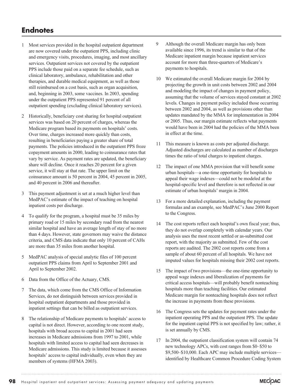# **Endnotes**

- 1 Most services provided in the hospital outpatient department are now covered under the outpatient PPS, including clinic and emergency visits, procedures, imaging, and most ancillary services. Outpatient services not covered by the outpatient PPS include those paid on a separate fee schedule, such as clinical laboratory, ambulance, rehabilitation and other therapies, and durable medical equipment, as well as those still reimbursed on a cost basis, such as organ acquisition, and, beginning in 2003, some vaccines. In 2003, spending under the outpatient PPS represented 91 percent of all outpatient spending (excluding clinical laboratory services).
- 2 Historically, beneficiary cost sharing for hospital outpatient services was based on 20 percent of charges, whereas the Medicare program based its payments on hospitals' costs. Over time, charges increased more quickly than costs, resulting in beneficiaries paying a greater share of total payments. The policies introduced in the outpatient PPS froze copayment amounts in 2000, leading to coinsurance rates that vary by service. As payment rates are updated, the beneficiary share will decline. Once it reaches 20 percent for a given service, it will stay at that rate. The upper limit on the coinsurance amount is 50 percent in 2004, 45 percent in 2005, and 40 percent in 2006 and thereafter.
- 3 This payment adjustment is set at a much higher level than MedPAC's estimate of the impact of teaching on hospital inpatient costs per discharge.
- 4 To qualify for the program, a hospital must be 35 miles by primary road or 15 miles by secondary road from the nearest similar hospital and have an average length of stay of no more than 4 days. However, state governors may waive the distance criteria, and CMS data indicate that only 10 percent of CAHs are more than 35 miles from another hospital.
- 5 MedPAC analysis of special analytic files of 100 percent outpatient PPS claims from April to September 2001 and April to September 2002.
- 6 Data from the Office of the Actuary, CMS.
- 7 The data, which come from the CMS Office of Information Services, do not distinguish between services provided in hospital outpatient departments and those provided in inpatient settings that can be billed as outpatient services.
- The relationship of Medicare payments to hospitals' access to capital is not direct. However, according to one recent study, hospitals with broad access to capital in 2001 had seen increases in Medicare admissions from 1997 to 2001, while hospitals with limited access to capital had seen decreases in Medicare admissions. This study is limited because it assesses hospitals' access to capital individually, even when they are members of systems (HFMA 2003).
- 9 Although the overall Medicare margin has only been available since 1996, its trend is similar to that of the Medicare inpatient margin because inpatient services account for more than three-quarters of Medicare's payments to hospitals.
- 10 We estimated the overall Medicare margin for 2004 by projecting the growth in unit costs between 2002 and 2004 and modeling the impact of changes in payment policy, assuming that the volume of services stayed constant at 2002 levels. Changes in payment policy included those occurring between 2002 and 2004, as well as provisions other than updates mandated by the MMA for implementation in 2004 or 2005. Thus, our margin estimate reflects what payments would have been in 2004 had the policies of the MMA been in effect at the time.
- 11 This measure is known as costs per adjusted discharge. Adjusted discharges are calculated as number of discharges times the ratio of total charges to inpatient charges.
- 12 The impact of one MMA provision that will benefit some urban hospitals—a one-time opportunity for hospitals to appeal their wage indexes—could not be modeled at the hospital-specific level and therefore is not reflected in our estimate of urban hospitals' margin in 2004.
- 13 For a more detailed explanation, including the payment formulas and an example, see MedPAC's June 2000 Report to the Congress.
- 14 The cost reports reflect each hospital's own fiscal year; thus, they do not overlap completely with calendar years. Our analysis uses the most recent settled or as-submitted cost report, with the majority as submitted. Few of the cost reports are audited. The 2002 cost reports come from a sample of about 60 percent of all hospitals. We have not imputed values for hospitals missing their 2002 cost reports.
- 15 The impact of two provisions—the one-time opportunity to appeal wage indexes and liberalization of payments for critical access hospitals—will probably benefit nonteaching hospitals more than teaching facilities. Our estimated Medicare margin for nonteaching hospitals does not reflect the increase in payments from these provisions.
- 16 The Congress sets the updates for payment rates under the inpatient operating PPS and the outpatient PPS. The update for the inpatient capital PPS is not specified by law; rather, it is set annually by CMS.
- 17 In 2004, the outpatient classification system will contain 74 new technology APCs, with cost ranges from \$0–\$50 to \$9,500–\$10,000. Each APC may include multiple services identified by Healthcare Common Procedure Coding System

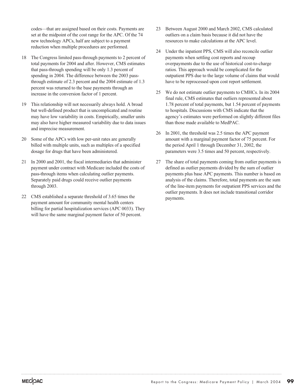codes—that are assigned based on their costs. Payments are set at the midpoint of the cost range for the APC. Of the 74 new technology APCs, half are subject to a payment reduction when multiple procedures are performed.

- 18 The Congress limited pass-through payments to 2 percent of total payments for 2004 and after. However, CMS estimates that pass-through spending will be only 1.3 percent of spending in 2004. The difference between the 2003 passthrough estimate of 2.3 percent and the 2004 estimate of 1.3 percent was returned to the base payments through an increase in the conversion factor of 1 percent.
- 19 This relationship will not necessarily always hold. A broad but well-defined product that is uncomplicated and routine may have low variability in costs. Empirically, smaller units may also have higher measured variability due to data issues and imprecise measurement.
- 20 Some of the APCs with low per-unit rates are generally billed with multiple units, such as multiples of a specified dosage for drugs that have been administered.
- 21 In 2000 and 2001, the fiscal intermediaries that administer payment under contract with Medicare included the costs of pass-through items when calculating outlier payments. Separately paid drugs could receive outlier payments through 2003.
- 22 CMS established a separate threshold of 3.65 times the payment amount for community mental health centers billing for partial hospitalization services (APC 0033). They will have the same marginal payment factor of 50 percent.
- 23 Between August 2000 and March 2002, CMS calculated outliers on a claim basis because it did not have the resources to make calculations at the APC level.
- 24 Under the inpatient PPS, CMS will also reconcile outlier payments when settling cost reports and recoup overpayments due to the use of historical cost-to-charge ratios. This approach would be complicated for the outpatient PPS due to the large volume of claims that would have to be reprocessed upon cost report settlement.
- 25 We do not estimate outlier payments to CMHCs. In its 2004 final rule, CMS estimates that outliers represented about 1.78 percent of total payments, but 1.54 percent of payments to hospitals. Discussions with CMS indicate that the agency's estimates were performed on slightly different files than those made available to MedPAC.
- 26 In 2001, the threshold was 2.5 times the APC payment amount with a marginal payment factor of 75 percent. For the period April 1 through December 31, 2002, the parameters were 3.5 times and 50 percent, respectively.
- 27 The share of total payments coming from outlier payments is defined as outlier payments divided by the sum of outlier payments plus base APC payments. This number is based on analysis of the claims. Therefore, total payments are the sum of the line-item payments for outpatient PPS services and the outlier payments. It does not include transitional corridor payments.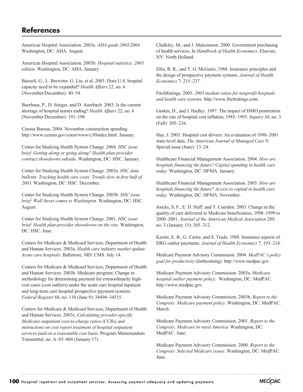# **References**

American Hospital Association. 2003a. *AHA guide 2003/2004.* Washington, DC: AHA. August.

American Hospital Association. 2003b. *Hospital statistics: 2003 edition.* Washington, DC: AHA. January.

Bazzoli, G., L. Brewster, G. Liu, et al. 2003. Does U.S. hospital capacity need to be expanded? *Health Affairs* 22, no. 6 (November/December): 40–54.

Buerhaus, P., D. Staiger, and D. Auerbach. 2003. Is the current shortage of hospital nurses ending? *Health Affairs* 22, no. 6 (November/December): 191–198.

Census Bureau. 2004. November construction spending. http://www.census.gov/const/www/c30index.html. January.

Center for Studying Health System Change. 2004. *HSC issue brief: Getting along or going along? Health plan-provider contract showdowns subside.* Washington, DC: HSC. January.

Center for Studying Health System Change. 2003a. *HSC data bulletin: Tracking health care costs: Trends slow in first half of 2003.* Washington, DC: HSC. December.

Center for Studying Health System Change. 2003b. *HSC issue brief: Wall Street comes to Washington.* Washington, DC: HSC. August.

Center for Studying Health System Change. 2001. *HSC issue brief: Health plan-provider showdowns on the rise.* Washington, DC: HSC. June.

Centers for Medicare & Medicaid Services, Department of Health and Human Services. 2003a. *Health care industry market update: Acute care hospitals.* Baltimore, MD: CMS. July 14.

Centers for Medicare & Medicaid Services, Department of Health and Human Services. 2003b. Medicare program: Change in methodology for determining payment for extraordinarily highcost cases (cost outliers) under the acute care hospital inpatient and long-term care hospital prospective payment systems. *Federal Register* 68, no. 110 (June 9): 34494–34515.

Centers for Medicare & Medicaid Services, Department of Health and Human Services. 2003c. *Calculating provider-specific Medicare outpatient cost-to-charge ratios (CCRs) and instructions on cost report treatment of hospital outpatient services paid on a reasonable cost basis*. Program Memorandum Transmittal, no. A–03–004 (January 17).

Chalkley, M., and J. Malcomson. 2000. Government purchasing of health services. In *Handbook of Health Economics.* Elsevier, NY: North Holland.

Ellis, R. R., and T. G. McGuire. 1988. Insurance principles and the design of prospective payment systems. *Journal of Health Economics* 7: 215–237.

FitchRatings. 2003. *2003 median ratios for nonprofit hospitals and health care systems.* http://www.fitchratings.com.

Gaskin, D., and J. Hadley. 1997. The impact of HMO penetration on the rate of hospital cost inflation, 1985–1993. *Inquiry* 34, no. 3 (Fall): 205–216.

Hay, J. 2003. Hospital cost drivers: An evaluation of 1998–2001 state-level data. *The American Journal of Managed Care* 9, Special issue (June): 13–24.

Healthcare Financial Management Association. 2004. *How are hospitals financing the future? Capital spending in health care today.* Washington, DC: HFMA. January.

Healthcare Financial Management Association. 2003. *How are hospitals financing the future? Access to capital in health care today.* Washington, DC: HFMA. November.

Jencks, S. F., E. D. Huff, and T. Cuerdon. 2003. Change in the quality of care delivered to Medicare beneficiaries, 1998–1999 to 2000–2001. *Journal of the American Medical Association* 289, no. 3 (January 15): 305–312.

Keeler, E. B., G. Carter, and S. Trude. 1988. Insurance aspects of DRG outlier payments. *Journal of Health Economics* 7: 193–214.

Medicare Payment Advisory Commission. 2004. *MedPAC's policy goal for productivity* (forthcoming). http://www.medpac.gov.

Medicare Payment Advisory Commission. 2003a. *Medicare hospital outlier payment policy.* Washington, DC: MedPAC. http://www.medpac.gov.

Medicare Payment Advisory Commission. 2003b. *Report to the Congress: Medicare payment policy.* Washington, DC: MedPAC. March.

Medicare Payment Advisory Commission. 2001. *Report to the Congress: Medicare in rural America.* Washington, DC: MedPAC. June.

Medicare Payment Advisory Commission. 2000. *Report to the Congress: Selected Medicare issues.* Washington, DC: MedPAC. June.